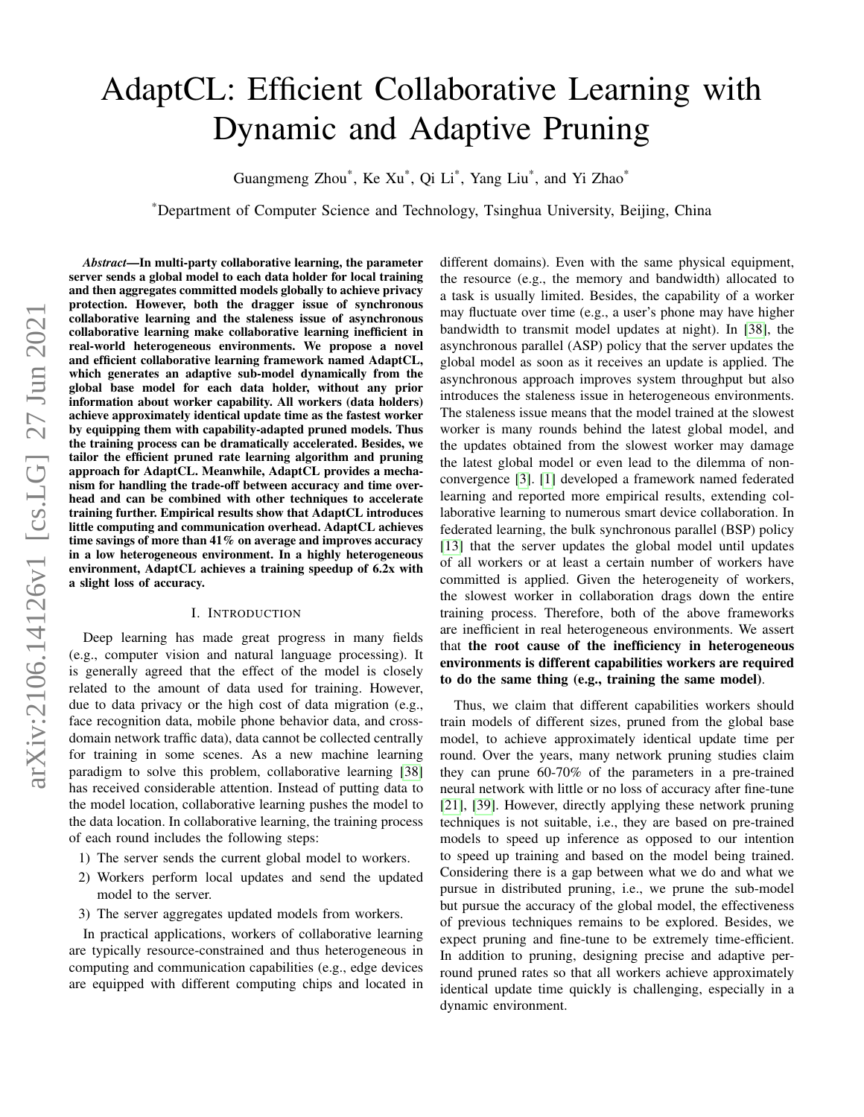# AdaptCL: Efficient Collaborative Learning with Dynamic and Adaptive Pruning

Guangmeng Zhou\*, Ke Xu\*, Qi Li\*, Yang Liu\*, and Yi Zhao\*

\*Department of Computer Science and Technology, Tsinghua University, Beijing, China

*Abstract*—In multi-party collaborative learning, the parameter server sends a global model to each data holder for local training and then aggregates committed models globally to achieve privacy protection. However, both the dragger issue of synchronous collaborative learning and the staleness issue of asynchronous collaborative learning make collaborative learning inefficient in real-world heterogeneous environments. We propose a novel and efficient collaborative learning framework named AdaptCL, which generates an adaptive sub-model dynamically from the global base model for each data holder, without any prior information about worker capability. All workers (data holders) achieve approximately identical update time as the fastest worker by equipping them with capability-adapted pruned models. Thus the training process can be dramatically accelerated. Besides, we tailor the efficient pruned rate learning algorithm and pruning approach for AdaptCL. Meanwhile, AdaptCL provides a mechanism for handling the trade-off between accuracy and time overhead and can be combined with other techniques to accelerate training further. Empirical results show that AdaptCL introduces little computing and communication overhead. AdaptCL achieves time savings of more than 41% on average and improves accuracy in a low heterogeneous environment. In a highly heterogeneous environment, AdaptCL achieves a training speedup of 6.2x with a slight loss of accuracy.

#### I. INTRODUCTION

Deep learning has made great progress in many fields (e.g., computer vision and natural language processing). It is generally agreed that the effect of the model is closely related to the amount of data used for training. However, due to data privacy or the high cost of data migration (e.g., face recognition data, mobile phone behavior data, and crossdomain network traffic data), data cannot be collected centrally for training in some scenes. As a new machine learning paradigm to solve this problem, collaborative learning [\[38\]](#page-8-0) has received considerable attention. Instead of putting data to the model location, collaborative learning pushes the model to the data location. In collaborative learning, the training process of each round includes the following steps:

- 1) The server sends the current global model to workers.
- 2) Workers perform local updates and send the updated model to the server.
- 3) The server aggregates updated models from workers.

In practical applications, workers of collaborative learning are typically resource-constrained and thus heterogeneous in computing and communication capabilities (e.g., edge devices are equipped with different computing chips and located in different domains). Even with the same physical equipment, the resource (e.g., the memory and bandwidth) allocated to a task is usually limited. Besides, the capability of a worker may fluctuate over time (e.g., a user's phone may have higher bandwidth to transmit model updates at night). In [\[38\]](#page-8-0), the asynchronous parallel (ASP) policy that the server updates the global model as soon as it receives an update is applied. The asynchronous approach improves system throughput but also introduces the staleness issue in heterogeneous environments. The staleness issue means that the model trained at the slowest worker is many rounds behind the latest global model, and the updates obtained from the slowest worker may damage the latest global model or even lead to the dilemma of nonconvergence [\[3\]](#page-7-0). [\[1\]](#page-7-1) developed a framework named federated learning and reported more empirical results, extending collaborative learning to numerous smart device collaboration. In federated learning, the bulk synchronous parallel (BSP) policy [\[13\]](#page-7-2) that the server updates the global model until updates of all workers or at least a certain number of workers have committed is applied. Given the heterogeneity of workers, the slowest worker in collaboration drags down the entire training process. Therefore, both of the above frameworks are inefficient in real heterogeneous environments. We assert that the root cause of the inefficiency in heterogeneous environments is different capabilities workers are required to do the same thing (e.g., training the same model).

Thus, we claim that different capabilities workers should train models of different sizes, pruned from the global base model, to achieve approximately identical update time per round. Over the years, many network pruning studies claim they can prune 60-70% of the parameters in a pre-trained neural network with little or no loss of accuracy after fine-tune [\[21\]](#page-7-3), [\[39\]](#page-8-1). However, directly applying these network pruning techniques is not suitable, i.e., they are based on pre-trained models to speed up inference as opposed to our intention to speed up training and based on the model being trained. Considering there is a gap between what we do and what we pursue in distributed pruning, i.e., we prune the sub-model but pursue the accuracy of the global model, the effectiveness of previous techniques remains to be explored. Besides, we expect pruning and fine-tune to be extremely time-efficient. In addition to pruning, designing precise and adaptive perround pruned rates so that all workers achieve approximately identical update time quickly is challenging, especially in a dynamic environment.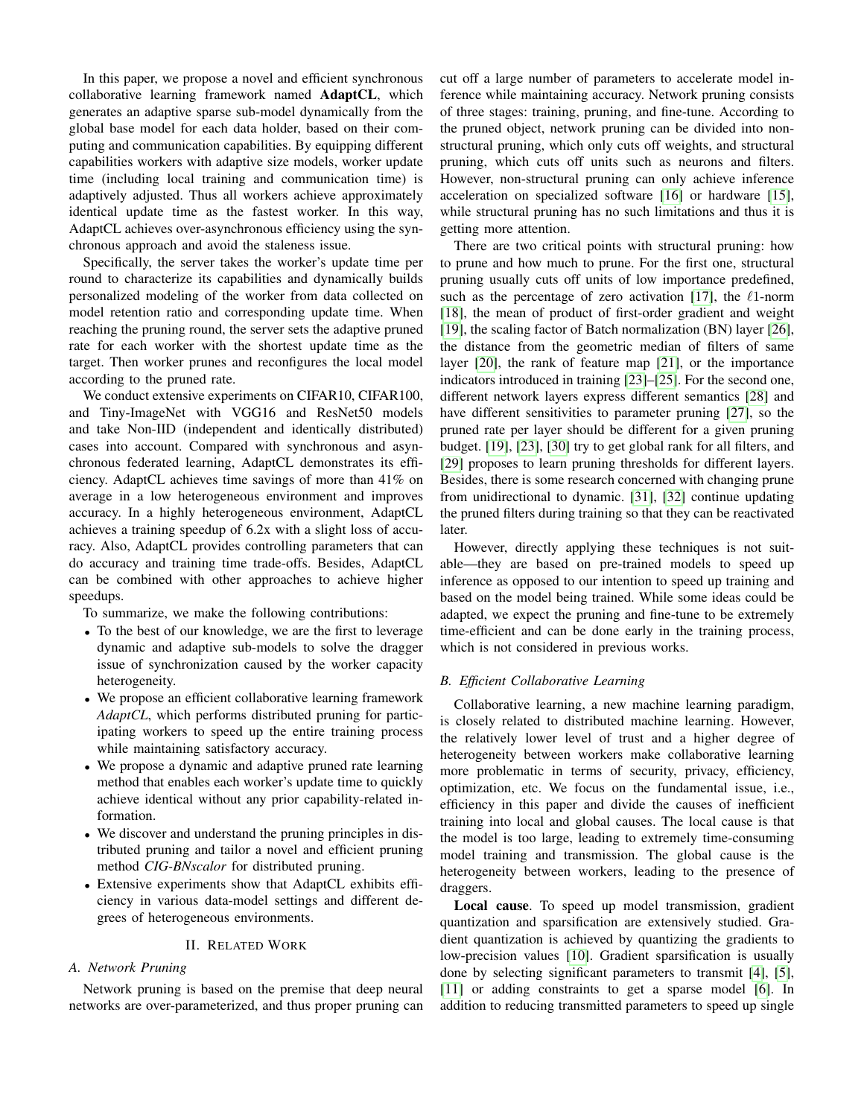In this paper, we propose a novel and efficient synchronous collaborative learning framework named AdaptCL, which generates an adaptive sparse sub-model dynamically from the global base model for each data holder, based on their computing and communication capabilities. By equipping different capabilities workers with adaptive size models, worker update time (including local training and communication time) is adaptively adjusted. Thus all workers achieve approximately identical update time as the fastest worker. In this way, AdaptCL achieves over-asynchronous efficiency using the synchronous approach and avoid the staleness issue.

Specifically, the server takes the worker's update time per round to characterize its capabilities and dynamically builds personalized modeling of the worker from data collected on model retention ratio and corresponding update time. When reaching the pruning round, the server sets the adaptive pruned rate for each worker with the shortest update time as the target. Then worker prunes and reconfigures the local model according to the pruned rate.

We conduct extensive experiments on CIFAR10, CIFAR100, and Tiny-ImageNet with VGG16 and ResNet50 models and take Non-IID (independent and identically distributed) cases into account. Compared with synchronous and asynchronous federated learning, AdaptCL demonstrates its efficiency. AdaptCL achieves time savings of more than 41% on average in a low heterogeneous environment and improves accuracy. In a highly heterogeneous environment, AdaptCL achieves a training speedup of 6.2x with a slight loss of accuracy. Also, AdaptCL provides controlling parameters that can do accuracy and training time trade-offs. Besides, AdaptCL can be combined with other approaches to achieve higher speedups.

To summarize, we make the following contributions:

- To the best of our knowledge, we are the first to leverage dynamic and adaptive sub-models to solve the dragger issue of synchronization caused by the worker capacity heterogeneity.
- We propose an efficient collaborative learning framework *AdaptCL*, which performs distributed pruning for participating workers to speed up the entire training process while maintaining satisfactory accuracy.
- We propose a dynamic and adaptive pruned rate learning method that enables each worker's update time to quickly achieve identical without any prior capability-related information.
- We discover and understand the pruning principles in distributed pruning and tailor a novel and efficient pruning method *CIG-BNscalor* for distributed pruning.
- Extensive experiments show that AdaptCL exhibits efficiency in various data-model settings and different degrees of heterogeneous environments.

## II. RELATED WORK

# <span id="page-1-0"></span>*A. Network Pruning*

Network pruning is based on the premise that deep neural networks are over-parameterized, and thus proper pruning can cut off a large number of parameters to accelerate model inference while maintaining accuracy. Network pruning consists of three stages: training, pruning, and fine-tune. According to the pruned object, network pruning can be divided into nonstructural pruning, which only cuts off weights, and structural pruning, which cuts off units such as neurons and filters. However, non-structural pruning can only achieve inference acceleration on specialized software [\[16\]](#page-7-4) or hardware [\[15\]](#page-7-5), while structural pruning has no such limitations and thus it is getting more attention.

There are two critical points with structural pruning: how to prune and how much to prune. For the first one, structural pruning usually cuts off units of low importance predefined, such as the percentage of zero activation [\[17\]](#page-7-6), the  $\ell$ 1-norm [\[18\]](#page-7-7), the mean of product of first-order gradient and weight [\[19\]](#page-7-8), the scaling factor of Batch normalization (BN) layer [\[26\]](#page-7-9), the distance from the geometric median of filters of same layer [\[20\]](#page-7-10), the rank of feature map [\[21\]](#page-7-3), or the importance indicators introduced in training [\[23\]](#page-7-11)–[\[25\]](#page-7-12). For the second one, different network layers express different semantics [\[28\]](#page-7-13) and have different sensitivities to parameter pruning [\[27\]](#page-7-14), so the pruned rate per layer should be different for a given pruning budget. [\[19\]](#page-7-8), [\[23\]](#page-7-11), [\[30\]](#page-7-15) try to get global rank for all filters, and [\[29\]](#page-7-16) proposes to learn pruning thresholds for different layers. Besides, there is some research concerned with changing prune from unidirectional to dynamic. [\[31\]](#page-7-17), [\[32\]](#page-7-18) continue updating the pruned filters during training so that they can be reactivated later.

However, directly applying these techniques is not suitable—they are based on pre-trained models to speed up inference as opposed to our intention to speed up training and based on the model being trained. While some ideas could be adapted, we expect the pruning and fine-tune to be extremely time-efficient and can be done early in the training process, which is not considered in previous works.

### <span id="page-1-1"></span>*B. Efficient Collaborative Learning*

Collaborative learning, a new machine learning paradigm, is closely related to distributed machine learning. However, the relatively lower level of trust and a higher degree of heterogeneity between workers make collaborative learning more problematic in terms of security, privacy, efficiency, optimization, etc. We focus on the fundamental issue, i.e., efficiency in this paper and divide the causes of inefficient training into local and global causes. The local cause is that the model is too large, leading to extremely time-consuming model training and transmission. The global cause is the heterogeneity between workers, leading to the presence of draggers.

Local cause. To speed up model transmission, gradient quantization and sparsification are extensively studied. Gradient quantization is achieved by quantizing the gradients to low-precision values [\[10\]](#page-7-19). Gradient sparsification is usually done by selecting significant parameters to transmit [\[4\]](#page-7-20), [\[5\]](#page-7-21), [\[11\]](#page-7-22) or adding constraints to get a sparse model [\[6\]](#page-7-23). In addition to reducing transmitted parameters to speed up single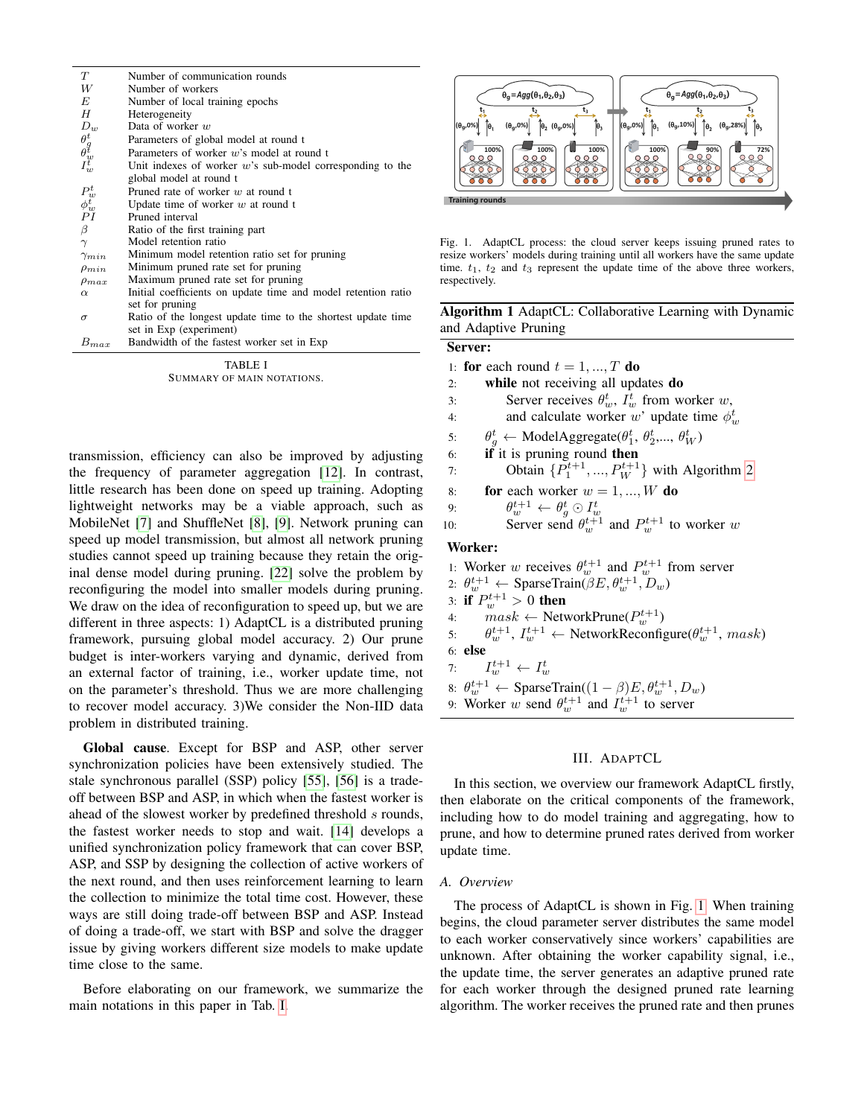| T                                                    | Number of communication rounds                                |
|------------------------------------------------------|---------------------------------------------------------------|
| W                                                    | Number of workers                                             |
| E                                                    | Number of local training epochs                               |
| H                                                    | Heterogeneity                                                 |
| $D_w$                                                | Data of worker $w$                                            |
| $\overset{\theta_g^t}{\underset{H_w^t}{\theta_w^t}}$ | Parameters of global model at round t                         |
|                                                      | Parameters of worker $w$ 's model at round t                  |
|                                                      | Unit indexes of worker $w$ 's sub-model corresponding to the  |
|                                                      | global model at round t                                       |
| $P^t_w$<br>$\phi^t_w$<br>$PI$                        | Pruned rate of worker $w$ at round t                          |
|                                                      | Update time of worker $w$ at round t                          |
|                                                      | Pruned interval                                               |
| β                                                    | Ratio of the first training part                              |
| $\gamma$                                             | Model retention ratio                                         |
| $\gamma_{min}$                                       | Minimum model retention ratio set for pruning                 |
| $\rho_{min}$                                         | Minimum pruned rate set for pruning                           |
| $\rho_{max}$                                         | Maximum pruned rate set for pruning                           |
| $\alpha$                                             | Initial coefficients on update time and model retention ratio |
|                                                      | set for pruning                                               |
| $\sigma$                                             | Ratio of the longest update time to the shortest update time  |
|                                                      | set in Exp (experiment)                                       |
| $B_{max}$                                            | Bandwidth of the fastest worker set in Exp                    |

TABLE I SUMMARY OF MAIN NOTATIONS.

<span id="page-2-0"></span>transmission, efficiency can also be improved by adjusting the frequency of parameter aggregation [\[12\]](#page-7-24). In contrast, little research has been done on speed up training. Adopting lightweight networks may be a viable approach, such as MobileNet [\[7\]](#page-7-25) and ShuffleNet [\[8\]](#page-7-26), [\[9\]](#page-7-27). Network pruning can speed up model transmission, but almost all network pruning studies cannot speed up training because they retain the original dense model during pruning. [\[22\]](#page-7-28) solve the problem by reconfiguring the model into smaller models during pruning. We draw on the idea of reconfiguration to speed up, but we are different in three aspects: 1) AdaptCL is a distributed pruning framework, pursuing global model accuracy. 2) Our prune budget is inter-workers varying and dynamic, derived from an external factor of training, i.e., worker update time, not on the parameter's threshold. Thus we are more challenging to recover model accuracy. 3)We consider the Non-IID data problem in distributed training.

Global cause. Except for BSP and ASP, other server synchronization policies have been extensively studied. The stale synchronous parallel (SSP) policy [\[55\]](#page-8-2), [\[56\]](#page-8-3) is a tradeoff between BSP and ASP, in which when the fastest worker is ahead of the slowest worker by predefined threshold s rounds, the fastest worker needs to stop and wait. [\[14\]](#page-7-29) develops a unified synchronization policy framework that can cover BSP, ASP, and SSP by designing the collection of active workers of the next round, and then uses reinforcement learning to learn the collection to minimize the total time cost. However, these ways are still doing trade-off between BSP and ASP. Instead of doing a trade-off, we start with BSP and solve the dragger issue by giving workers different size models to make update time close to the same.

Before elaborating on our framework, we summarize the main notations in this paper in Tab. [I.](#page-2-0)



<span id="page-2-1"></span>Fig. 1. AdaptCL process: the cloud server keeps issuing pruned rates to resize workers' models during training until all workers have the same update time.  $t_1$ ,  $t_2$  and  $t_3$  represent the update time of the above three workers, respectively.

<span id="page-2-2"></span>Algorithm 1 AdaptCL: Collaborative Learning with Dynamic and Adaptive Pruning

# Server:

- 1: for each round  $t = 1, ..., T$  do
- 2: while not receiving all updates do
- 3: Server receives  $\theta_w^t$ ,  $I_w^t$  from worker w,
- 4: and calculate worker w' update time  $\phi_w^t$
- 5:  $\theta_g^t \leftarrow \text{ModelAggregate}(\theta_1^t, \theta_2^t, \dots, \theta_W^t)$
- 6: if it is pruning round then
- 7: Obtain  $\{P_1^{t+1},..., P_W^{t+1}\}$  with Algorithm [2](#page-3-0)
- 8: **for** each worker  $w = 1, ..., W$  do
- 
- 9:  $\theta_w^{t+1} \leftarrow \theta_g^t \odot I_w^t$ <br>
10: Server send  $\theta_w^{t+1}$  and  $P_w^{t+1}$  to worker w

#### Worker:

1: Worker w receives  $\theta_w^{t+1}$  and  $P_w^{t+1}$  from server 2:  $\theta_w^{t+1} \leftarrow$  SparseTrain( $\beta E, \theta_w^{t+1}, D_w$ ) 3: if  $P_{w}^{t+1} > 0$  then 4:  $mask \leftarrow$  NetworkPrune $(P_w^{t+1})$ 5:  $\theta_{w}^{t+1}, I_{w}^{t+1} \leftarrow$  NetworkReconfigure $(\theta_{w}^{t+1}, \text{mask})$ 6: else 7:  $I_w^{t+1} \leftarrow I_w^t$ 8:  $\theta_w^{t+1} \leftarrow$  SparseTrain( $(1 - \beta)E, \theta_w^{t+1}, D_w$ ) 9: Worker w send  $\theta_w^{t+1}$  and  $I_w^{t+1}$  to server

## III. ADAPTCL

In this section, we overview our framework AdaptCL firstly, then elaborate on the critical components of the framework, including how to do model training and aggregating, how to prune, and how to determine pruned rates derived from worker update time.

#### *A. Overview*

The process of AdaptCL is shown in Fig. [1.](#page-2-1) When training begins, the cloud parameter server distributes the same model to each worker conservatively since workers' capabilities are unknown. After obtaining the worker capability signal, i.e., the update time, the server generates an adaptive pruned rate for each worker through the designed pruned rate learning algorithm. The worker receives the pruned rate and then prunes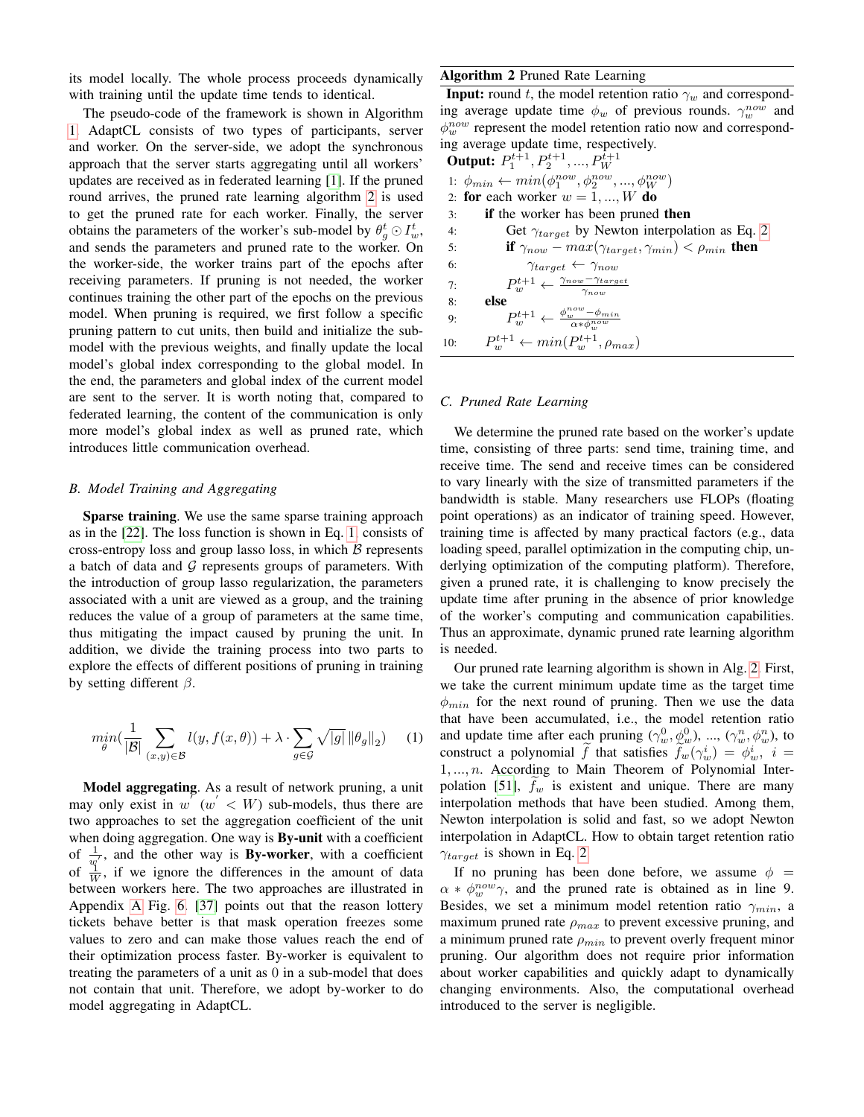its model locally. The whole process proceeds dynamically with training until the update time tends to identical.

The pseudo-code of the framework is shown in Algorithm [1.](#page-2-2) AdaptCL consists of two types of participants, server and worker. On the server-side, we adopt the synchronous approach that the server starts aggregating until all workers' updates are received as in federated learning [\[1\]](#page-7-1). If the pruned round arrives, the pruned rate learning algorithm [2](#page-3-0) is used to get the pruned rate for each worker. Finally, the server obtains the parameters of the worker's sub-model by  $\theta_g^t \odot I_w^t$ , and sends the parameters and pruned rate to the worker. On the worker-side, the worker trains part of the epochs after receiving parameters. If pruning is not needed, the worker continues training the other part of the epochs on the previous model. When pruning is required, we first follow a specific pruning pattern to cut units, then build and initialize the submodel with the previous weights, and finally update the local model's global index corresponding to the global model. In the end, the parameters and global index of the current model are sent to the server. It is worth noting that, compared to federated learning, the content of the communication is only more model's global index as well as pruned rate, which introduces little communication overhead.

## <span id="page-3-2"></span>*B. Model Training and Aggregating*

Sparse training. We use the same sparse training approach as in the [\[22\]](#page-7-28). The loss function is shown in Eq. [1,](#page-3-1) consists of cross-entropy loss and group lasso loss, in which  $\beta$  represents a batch of data and  $G$  represents groups of parameters. With the introduction of group lasso regularization, the parameters associated with a unit are viewed as a group, and the training reduces the value of a group of parameters at the same time, thus mitigating the impact caused by pruning the unit. In addition, we divide the training process into two parts to explore the effects of different positions of pruning in training by setting different  $\beta$ .

<span id="page-3-1"></span>
$$
\min_{\theta} \left( \frac{1}{|\mathcal{B}|} \sum_{(x,y) \in \mathcal{B}} l(y, f(x, \theta)) + \lambda \cdot \sum_{g \in \mathcal{G}} \sqrt{|g|} ||\theta_g||_2 \right) \tag{1}
$$

Model aggregating. As a result of network pruning, a unit may only exist in  $w'(w' < W)$  sub-models, thus there are two approaches to set the aggregation coefficient of the unit when doing aggregation. One way is By-unit with a coefficient of  $\frac{1}{w'}$ , and the other way is **By-worker**, with a coefficient of  $\frac{q}{W}$ , if we ignore the differences in the amount of data between workers here. The two approaches are illustrated in Appendix [A](#page-9-0) Fig. [6.](#page-9-1) [\[37\]](#page-8-4) points out that the reason lottery tickets behave better is that mask operation freezes some values to zero and can make those values reach the end of their optimization process faster. By-worker is equivalent to treating the parameters of a unit as 0 in a sub-model that does not contain that unit. Therefore, we adopt by-worker to do model aggregating in AdaptCL.

# <span id="page-3-0"></span>Algorithm 2 Pruned Rate Learning

**Input:** round t, the model retention ratio  $\gamma_w$  and corresponding average update time  $\phi_w$  of previous rounds.  $\gamma_w^{now}$  and  $\phi_w^{now}$  represent the model retention ratio now and corresponding average update time, respectively.

| Output: | $P_1^{t+1}, P_2^{t+1}, \ldots, P_W^{i+1}$                                      |
|---------|--------------------------------------------------------------------------------|
| 1:      | $\phi_{min} \leftarrow \min(\phi_1^{now}, \phi_2^{now}, \ldots, \phi_W^{now})$ |
| 2:      | for each worker $w = 1, \ldots, W$ do                                          |
| 3:      | if the worker has been pruned then                                             |
| 4:      | Get $\gamma_{target}$ by Newton interpolation as Eq. 2                         |
| 5:      | if $\gamma_{now} - \max(\gamma_{target}, \gamma_{min}) < \rho_{min}$ then      |
| 6:      | $\gamma_{target} \leftarrow \gamma_{now}$                                      |
| 7:      | $P_w^{t+1} \leftarrow \frac{\gamma_{now} - \gamma_{target}}{\gamma_{now}}$     |
| 8:      | else                                                                           |
| 9:      | $P_w^{t+1} \leftarrow \frac{\phi_w^{now} - \phi_{min}}{\alpha * \phi_w^{now}}$ |
| 10:     | $P_w^{t+1} \leftarrow \min(P_w^{t+1}, \rho_{max})$                             |

## *C. Pruned Rate Learning*

We determine the pruned rate based on the worker's update time, consisting of three parts: send time, training time, and receive time. The send and receive times can be considered to vary linearly with the size of transmitted parameters if the bandwidth is stable. Many researchers use FLOPs (floating point operations) as an indicator of training speed. However, training time is affected by many practical factors (e.g., data loading speed, parallel optimization in the computing chip, underlying optimization of the computing platform). Therefore, given a pruned rate, it is challenging to know precisely the update time after pruning in the absence of prior knowledge of the worker's computing and communication capabilities. Thus an approximate, dynamic pruned rate learning algorithm is needed.

Our pruned rate learning algorithm is shown in Alg. [2.](#page-3-0) First, we take the current minimum update time as the target time  $\phi_{min}$  for the next round of pruning. Then we use the data that have been accumulated, i.e., the model retention ratio and update time after each pruning  $(\gamma_w^0, \phi_w^0)$ , ...,  $(\gamma_w^n, \phi_w^n)$ , to construct a polynomial  $\tilde{f}$  that satisfies  $\tilde{f}_w(\gamma_w^i) = \phi_w^i$ ,  $i =$  $1, \ldots, n$ . According to Main Theorem of Polynomial Inter-polation [\[51\]](#page-8-5),  $f_w$  is existent and unique. There are many interpolation methods that have been studied. Among them, Newton interpolation is solid and fast, so we adopt Newton interpolation in AdaptCL. How to obtain target retention ratio  $\gamma_{target}$  is shown in Eq. [2.](#page-4-0)

If no pruning has been done before, we assume  $\phi =$  $\alpha * \phi_w^{now} \gamma$ , and the pruned rate is obtained as in line 9. Besides, we set a minimum model retention ratio  $\gamma_{min}$ , a maximum pruned rate  $\rho_{max}$  to prevent excessive pruning, and a minimum pruned rate  $\rho_{min}$  to prevent overly frequent minor pruning. Our algorithm does not require prior information about worker capabilities and quickly adapt to dynamically changing environments. Also, the computational overhead introduced to the server is negligible.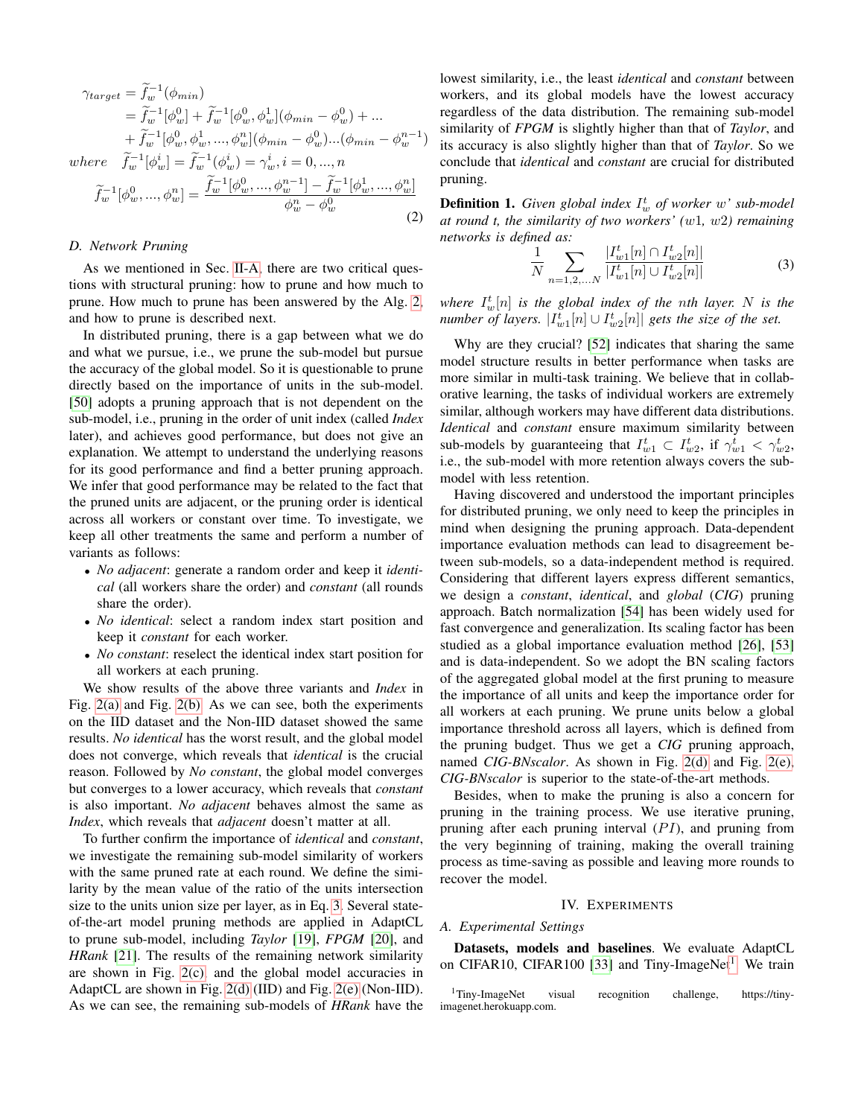$$
\gamma_{target} = \tilde{f}_{w}^{-1}(\phi_{min})
$$
  
=  $\tilde{f}_{w}^{-1}[\phi_{w}^{0}] + \tilde{f}_{w}^{-1}[\phi_{w}^{0}, \phi_{w}^{1}](\phi_{min} - \phi_{w}^{0}) + ...$   
+  $\tilde{f}_{w}^{-1}[\phi_{w}^{0}, \phi_{w}^{1}, ..., \phi_{w}^{n}](\phi_{min} - \phi_{w}^{0})...(\phi_{min} - \phi_{w}^{n-1})$   
where  $\tilde{f}_{w}^{-1}[\phi_{w}^{i}] = \tilde{f}_{w}^{-1}(\phi_{w}^{i}) = \gamma_{w}^{i}, i = 0, ..., n$ 

<span id="page-4-0"></span>where  $\tilde{f}_w^{-1}$  $w_{w}^{i}$ ] =  $\widetilde{f}_{w}^{-1}$ 

$$
\widetilde{f}_w^{-1}[\phi_w^0, ..., \phi_w^n] = \frac{\widetilde{f}_w^{-1}[\phi_w^0, ..., \phi_w^{n-1}] - \widetilde{f}_w^{-1}[\phi_w^1, ..., \phi_w^n]}{\phi_w^n - \phi_w^0}
$$
\n(2)

## *D. Network Pruning*

As we mentioned in Sec. [II-A,](#page-1-0) there are two critical questions with structural pruning: how to prune and how much to prune. How much to prune has been answered by the Alg. [2,](#page-3-0) and how to prune is described next.

In distributed pruning, there is a gap between what we do and what we pursue, i.e., we prune the sub-model but pursue the accuracy of the global model. So it is questionable to prune directly based on the importance of units in the sub-model. [\[50\]](#page-8-6) adopts a pruning approach that is not dependent on the sub-model, i.e., pruning in the order of unit index (called *Index* later), and achieves good performance, but does not give an explanation. We attempt to understand the underlying reasons for its good performance and find a better pruning approach. We infer that good performance may be related to the fact that the pruned units are adjacent, or the pruning order is identical across all workers or constant over time. To investigate, we keep all other treatments the same and perform a number of variants as follows:

- *No adjacent*: generate a random order and keep it *identical* (all workers share the order) and *constant* (all rounds share the order).
- *No identical*: select a random index start position and keep it *constant* for each worker.
- *No constant*: reselect the identical index start position for all workers at each pruning.

We show results of the above three variants and *Index* in Fig. [2\(a\)](#page-5-0) and Fig. [2\(b\).](#page-5-1) As we can see, both the experiments on the IID dataset and the Non-IID dataset showed the same results. *No identical* has the worst result, and the global model does not converge, which reveals that *identical* is the crucial reason. Followed by *No constant*, the global model converges but converges to a lower accuracy, which reveals that *constant* is also important. *No adjacent* behaves almost the same as *Index*, which reveals that *adjacent* doesn't matter at all.

To further confirm the importance of *identical* and *constant*, we investigate the remaining sub-model similarity of workers with the same pruned rate at each round. We define the similarity by the mean value of the ratio of the units intersection size to the units union size per layer, as in Eq. [3.](#page-4-1) Several stateof-the-art model pruning methods are applied in AdaptCL to prune sub-model, including *Taylor* [\[19\]](#page-7-8), *FPGM* [\[20\]](#page-7-10), and *HRank* [\[21\]](#page-7-3). The results of the remaining network similarity are shown in Fig. [2\(c\),](#page-5-2) and the global model accuracies in AdaptCL are shown in Fig. [2\(d\)](#page-5-3) (IID) and Fig. [2\(e\)](#page-5-4) (Non-IID). As we can see, the remaining sub-models of *HRank* have the lowest similarity, i.e., the least *identical* and *constant* between workers, and its global models have the lowest accuracy regardless of the data distribution. The remaining sub-model similarity of *FPGM* is slightly higher than that of *Taylor*, and its accuracy is also slightly higher than that of *Taylor*. So we conclude that *identical* and *constant* are crucial for distributed pruning.

**Definition 1.** Given global index  $I_w^t$  of worker w' sub-model *at round t, the similarity of two workers' (*w1*,* w2*) remaining networks is defined as:*

<span id="page-4-1"></span>
$$
\frac{1}{N} \sum_{n=1,2,...N} \frac{|I_{w1}^t[n] \cap I_{w2}^t[n]|}{|I_{w1}^t[n] \cup I_{w2}^t[n]|} \tag{3}
$$

where  $I_w^t[n]$  *is the global index of the nth layer.* N *is the number of layers.*  $|I_{w1}^t[n] \cup I_{w2}^t[n]|$  gets the size of the set.

Why are they crucial? [\[52\]](#page-8-7) indicates that sharing the same model structure results in better performance when tasks are more similar in multi-task training. We believe that in collaborative learning, the tasks of individual workers are extremely similar, although workers may have different data distributions. *Identical* and *constant* ensure maximum similarity between sub-models by guaranteeing that  $I_{w1}^t \subset I_{w2}^t$ , if  $\gamma_{w1}^t < \gamma_{w2}^t$ , i.e., the sub-model with more retention always covers the submodel with less retention.

Having discovered and understood the important principles for distributed pruning, we only need to keep the principles in mind when designing the pruning approach. Data-dependent importance evaluation methods can lead to disagreement between sub-models, so a data-independent method is required. Considering that different layers express different semantics, we design a *constant*, *identical*, and *global* (*CIG*) pruning approach. Batch normalization [\[54\]](#page-8-8) has been widely used for fast convergence and generalization. Its scaling factor has been studied as a global importance evaluation method [\[26\]](#page-7-9), [\[53\]](#page-8-9) and is data-independent. So we adopt the BN scaling factors of the aggregated global model at the first pruning to measure the importance of all units and keep the importance order for all workers at each pruning. We prune units below a global importance threshold across all layers, which is defined from the pruning budget. Thus we get a *CIG* pruning approach, named *CIG-BNscalor*. As shown in Fig. [2\(d\)](#page-5-3) and Fig. [2\(e\),](#page-5-4) *CIG-BNscalor* is superior to the state-of-the-art methods.

Besides, when to make the pruning is also a concern for pruning in the training process. We use iterative pruning, pruning after each pruning interval  $(PI)$ , and pruning from the very beginning of training, making the overall training process as time-saving as possible and leaving more rounds to recover the model.

#### IV. EXPERIMENTS

#### *A. Experimental Settings*

Datasets, models and baselines. We evaluate AdaptCL on CIFAR10, CIFAR100 [\[33\]](#page-7-30) and Tiny-ImageNet<sup>[1](#page-4-2)</sup>. We train

<span id="page-4-2"></span><sup>1</sup>Tiny-ImageNet visual recognition challenge, https://tinyimagenet.herokuapp.com.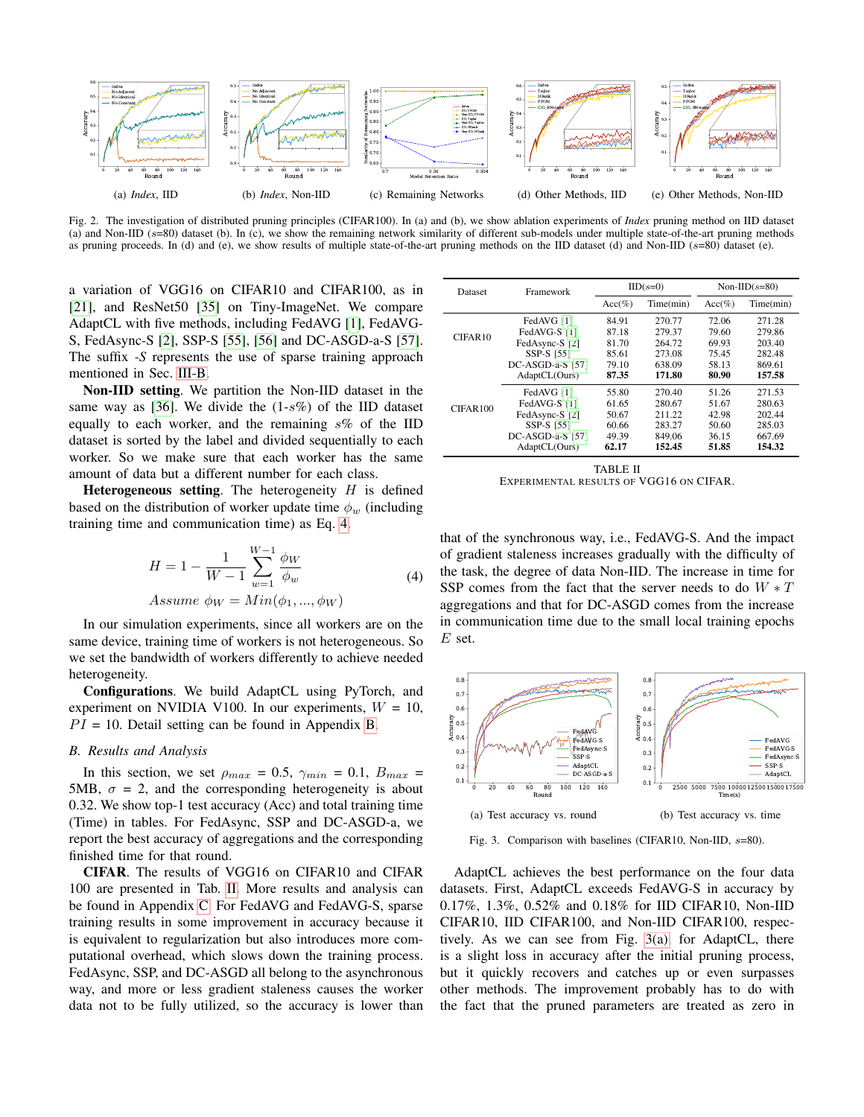<span id="page-5-0"></span>

<span id="page-5-1"></span>Fig. 2. The investigation of distributed pruning principles (CIFAR100). In (a) and (b), we show ablation experiments of *Index* pruning method on IID dataset (a) and Non-IID (s=80) dataset (b). In (c), we show the remaining network similarity of different sub-models under multiple state-of-the-art pruning methods as pruning proceeds. In (d) and (e), we show results of multiple state-of-the-art pruning methods on the IID dataset (d) and Non-IID ( $s=80$ ) dataset (e).

a variation of VGG16 on CIFAR10 and CIFAR100, as in [\[21\]](#page-7-3), and ResNet50 [\[35\]](#page-8-10) on Tiny-ImageNet. We compare AdaptCL with five methods, including FedAVG [\[1\]](#page-7-1), FedAVG-S, FedAsync-S [\[2\]](#page-7-31), SSP-S [\[55\]](#page-8-2), [\[56\]](#page-8-3) and DC-ASGD-a-S [\[57\]](#page-8-11). The suffix *-S* represents the use of sparse training approach mentioned in Sec. [III-B.](#page-3-2)

Non-IID setting. We partition the Non-IID dataset in the same way as [\[36\]](#page-8-12). We divide the  $(1-s\%)$  of the IID dataset equally to each worker, and the remaining  $s\%$  of the IID dataset is sorted by the label and divided sequentially to each worker. So we make sure that each worker has the same amount of data but a different number for each class.

**Heterogeneous setting.** The heterogeneity  $H$  is defined based on the distribution of worker update time  $\phi_w$  (including training time and communication time) as Eq. [4.](#page-5-5)

<span id="page-5-5"></span>
$$
H = 1 - \frac{1}{W - 1} \sum_{w=1}^{W-1} \frac{\phi_W}{\phi_w}
$$
  
Assume  $\phi_W = Min(\phi_1, ..., \phi_W)$  (4)

In our simulation experiments, since all workers are on the same device, training time of workers is not heterogeneous. So we set the bandwidth of workers differently to achieve needed heterogeneity.

Configurations. We build AdaptCL using PyTorch, and experiment on NVIDIA V100. In our experiments,  $W = 10$ ,  $PI = 10$ . Detail setting can be found in Appendix [B.](#page-9-2)

#### *B. Results and Analysis*

In this section, we set  $\rho_{max} = 0.5$ ,  $\gamma_{min} = 0.1$ ,  $B_{max} =$ 5MB,  $\sigma = 2$ , and the corresponding heterogeneity is about 0.32. We show top-1 test accuracy (Acc) and total training time (Time) in tables. For FedAsync, SSP and DC-ASGD-a, we report the best accuracy of aggregations and the corresponding finished time for that round.

CIFAR. The results of VGG16 on CIFAR10 and CIFAR 100 are presented in Tab. [II.](#page-5-6) More results and analysis can be found in Appendix [C.](#page-10-0) For FedAVG and FedAVG-S, sparse training results in some improvement in accuracy because it is equivalent to regularization but also introduces more computational overhead, which slows down the training process. FedAsync, SSP, and DC-ASGD all belong to the asynchronous way, and more or less gradient staleness causes the worker data not to be fully utilized, so the accuracy is lower than

<span id="page-5-4"></span><span id="page-5-3"></span><span id="page-5-2"></span>

| <b>Dataset</b> | Framework        |           | $IID(s=0)$ | Non-IID $(s=80)$ |           |
|----------------|------------------|-----------|------------|------------------|-----------|
|                |                  | $Acc(\%)$ | Time(min)  | $Acc(\%)$        | Time(min) |
|                | FedAVG [1]       | 84.91     | 270.77     | 72.06            | 271.28    |
| CIFAR10        | FedAVG-S [1]     | 87.18     | 279.37     | 79.60            | 279.86    |
|                | FedAsync-S [2]   | 81.70     | 264.72     | 69.93            | 203.40    |
|                | SSP-S [55]       | 85.61     | 273.08     | 75.45            | 282.48    |
|                | DC-ASGD-a-S [57] | 79.10     | 638.09     | 58.13            | 869.61    |
|                | AdaptCL(Ours)    | 87.35     | 171.80     | 80.90            | 157.58    |
|                | FedAVG [1]       | 55.80     | 270.40     | 51.26            | 271.53    |
| CIFAR100       | FedAVG-S [1]     | 61.65     | 280.67     | 51.67            | 280.63    |
|                | FedAsync-S [2]   | 50.67     | 211.22     | 42.98            | 202.44    |
|                | SSP-S [55]       | 60.66     | 283.27     | 50.60            | 285.03    |
|                | DC-ASGD-a-S [57] | 49.39     | 849.06     | 36.15            | 667.69    |
|                | AdaptCL(Ours)    | 62.17     | 152.45     | 51.85            | 154.32    |
|                |                  |           |            |                  |           |

<span id="page-5-6"></span>TABLE II EXPERIMENTAL RESULTS OF VGG16 ON CIFAR.

that of the synchronous way, i.e., FedAVG-S. And the impact of gradient staleness increases gradually with the difficulty of the task, the degree of data Non-IID. The increase in time for SSP comes from the fact that the server needs to do  $W * T$ aggregations and that for DC-ASGD comes from the increase in communication time due to the small local training epochs  $E$  set.

<span id="page-5-7"></span>

<span id="page-5-8"></span>Fig. 3. Comparison with baselines (CIFAR10, Non-IID,  $s=80$ ).

AdaptCL achieves the best performance on the four data datasets. First, AdaptCL exceeds FedAVG-S in accuracy by 0.17%, 1.3%, 0.52% and 0.18% for IID CIFAR10, Non-IID CIFAR10, IID CIFAR100, and Non-IID CIFAR100, respectively. As we can see from Fig. [3\(a\),](#page-5-7) for AdaptCL, there is a slight loss in accuracy after the initial pruning process, but it quickly recovers and catches up or even surpasses other methods. The improvement probably has to do with the fact that the pruned parameters are treated as zero in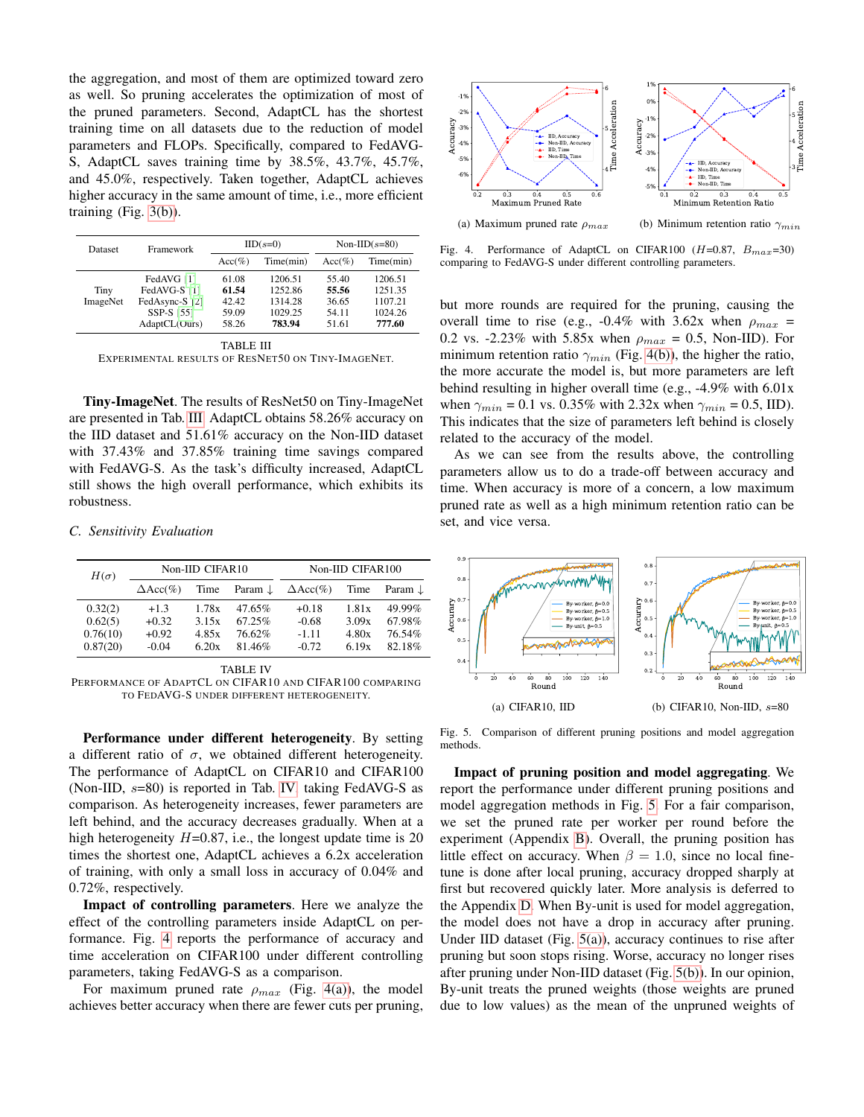the aggregation, and most of them are optimized toward zero as well. So pruning accelerates the optimization of most of the pruned parameters. Second, AdaptCL has the shortest training time on all datasets due to the reduction of model parameters and FLOPs. Specifically, compared to FedAVG-S, AdaptCL saves training time by 38.5%, 43.7%, 45.7%, and 45.0%, respectively. Taken together, AdaptCL achieves higher accuracy in the same amount of time, i.e., more efficient training (Fig. [3\(b\)\)](#page-5-8).

| <b>Dataset</b>   | Framework                                                                   |                                           | $IID(s=0)$                                         | Non-IID $(s=80)$                          |                                                    |
|------------------|-----------------------------------------------------------------------------|-------------------------------------------|----------------------------------------------------|-------------------------------------------|----------------------------------------------------|
|                  |                                                                             | $Acc(\%)$                                 | Time(min)                                          | $Acc(\%)$                                 | Time(min)                                          |
| Tiny<br>ImageNet | FedAVG [1]<br>FedAVG-S [1]<br>FedAsync-S [2]<br>SSP-S [55]<br>AdaptCL(Ours) | 61.08<br>61.54<br>42.42<br>59.09<br>58.26 | 1206.51<br>1252.86<br>1314.28<br>1029.25<br>783.94 | 55.40<br>55.56<br>36.65<br>54.11<br>51.61 | 1206.51<br>1251.35<br>1107.21<br>1024.26<br>777.60 |

<span id="page-6-0"></span>TABLE III EXPERIMENTAL RESULTS OF RESNET50 ON TINY-IMAGENET.

Tiny-ImageNet. The results of ResNet50 on Tiny-ImageNet are presented in Tab. [III.](#page-6-0) AdaptCL obtains 58.26% accuracy on the IID dataset and 51.61% accuracy on the Non-IID dataset with 37.43% and 37.85% training time savings compared with FedAVG-S. As the task's difficulty increased, AdaptCL still shows the high overall performance, which exhibits its robustness.

#### *C. Sensitivity Evaluation*

| $H(\sigma)$ |                  | Non-IID CIFAR10 |                    | Non-IID CIFAR100 |       |         |  |
|-------------|------------------|-----------------|--------------------|------------------|-------|---------|--|
|             | $\Delta Acc(\%)$ | Time            | Param $\downarrow$ | $\Delta Acc(\%)$ | Time  | Param J |  |
| 0.32(2)     | $+1.3$           | 1.78x           | $47.65\%$          | $+0.18$          | 1.81x | 49.99%  |  |
| 0.62(5)     | $+0.32$          | 3.15x           | 67.25%             | $-0.68$          | 3.09x | 67.98%  |  |
| 0.76(10)    | $+0.92$          | 4.85x           | 76.62%             | $-1.11$          | 4.80x | 76.54%  |  |
| 0.87(20)    | $-0.04$          | 6.20x           | 81.46%             | $-0.72$          | 6.19x | 82.18%  |  |

TABLE IV

Performance under different heterogeneity. By setting a different ratio of  $\sigma$ , we obtained different heterogeneity. The performance of AdaptCL on CIFAR10 and CIFAR100 (Non-IID, s=80) is reported in Tab. [IV,](#page-6-1) taking FedAVG-S as comparison. As heterogeneity increases, fewer parameters are left behind, and the accuracy decreases gradually. When at a high heterogeneity  $H=0.87$ , i.e., the longest update time is 20 times the shortest one, AdaptCL achieves a 6.2x acceleration of training, with only a small loss in accuracy of 0.04% and 0.72%, respectively.

Impact of controlling parameters. Here we analyze the effect of the controlling parameters inside AdaptCL on performance. Fig. [4](#page-6-2) reports the performance of accuracy and time acceleration on CIFAR100 under different controlling parameters, taking FedAVG-S as a comparison.

For maximum pruned rate  $\rho_{max}$  (Fig. [4\(a\)\)](#page-6-3), the model achieves better accuracy when there are fewer cuts per pruning,

<span id="page-6-3"></span>

<span id="page-6-4"></span><span id="page-6-2"></span>Fig. 4. Performance of AdaptCL on CIFAR100 ( $H=0.87$ ,  $B_{max}=30$ ) comparing to FedAVG-S under different controlling parameters.

but more rounds are required for the pruning, causing the overall time to rise (e.g., -0.4% with 3.62x when  $\rho_{max}$  = 0.2 vs. -2.23% with 5.85x when  $\rho_{max} = 0.5$ , Non-IID). For minimum retention ratio  $\gamma_{min}$  (Fig. [4\(b\)\)](#page-6-4), the higher the ratio, the more accurate the model is, but more parameters are left behind resulting in higher overall time (e.g., -4.9% with 6.01x when  $\gamma_{min} = 0.1$  vs. 0.35% with 2.32x when  $\gamma_{min} = 0.5$ , IID). This indicates that the size of parameters left behind is closely related to the accuracy of the model.

As we can see from the results above, the controlling parameters allow us to do a trade-off between accuracy and time. When accuracy is more of a concern, a low maximum pruned rate as well as a high minimum retention ratio can be set, and vice versa.

<span id="page-6-6"></span>

<span id="page-6-7"></span><span id="page-6-5"></span>Fig. 5. Comparison of different pruning positions and model aggregation methods.

Impact of pruning position and model aggregating. We report the performance under different pruning positions and model aggregation methods in Fig. [5.](#page-6-5) For a fair comparison, we set the pruned rate per worker per round before the experiment (Appendix [B\)](#page-9-2). Overall, the pruning position has little effect on accuracy. When  $\beta = 1.0$ , since no local finetune is done after local pruning, accuracy dropped sharply at first but recovered quickly later. More analysis is deferred to the Appendix [D.](#page-12-0) When By-unit is used for model aggregation, the model does not have a drop in accuracy after pruning. Under IID dataset (Fig.  $5(a)$ ), accuracy continues to rise after pruning but soon stops rising. Worse, accuracy no longer rises after pruning under Non-IID dataset (Fig. [5\(b\)\)](#page-6-7). In our opinion, By-unit treats the pruned weights (those weights are pruned due to low values) as the mean of the unpruned weights of

<span id="page-6-1"></span>PERFORMANCE OF ADAPTCL ON CIFAR10 AND CIFAR100 COMPARING TO FEDAVG-S UNDER DIFFERENT HETEROGENEITY.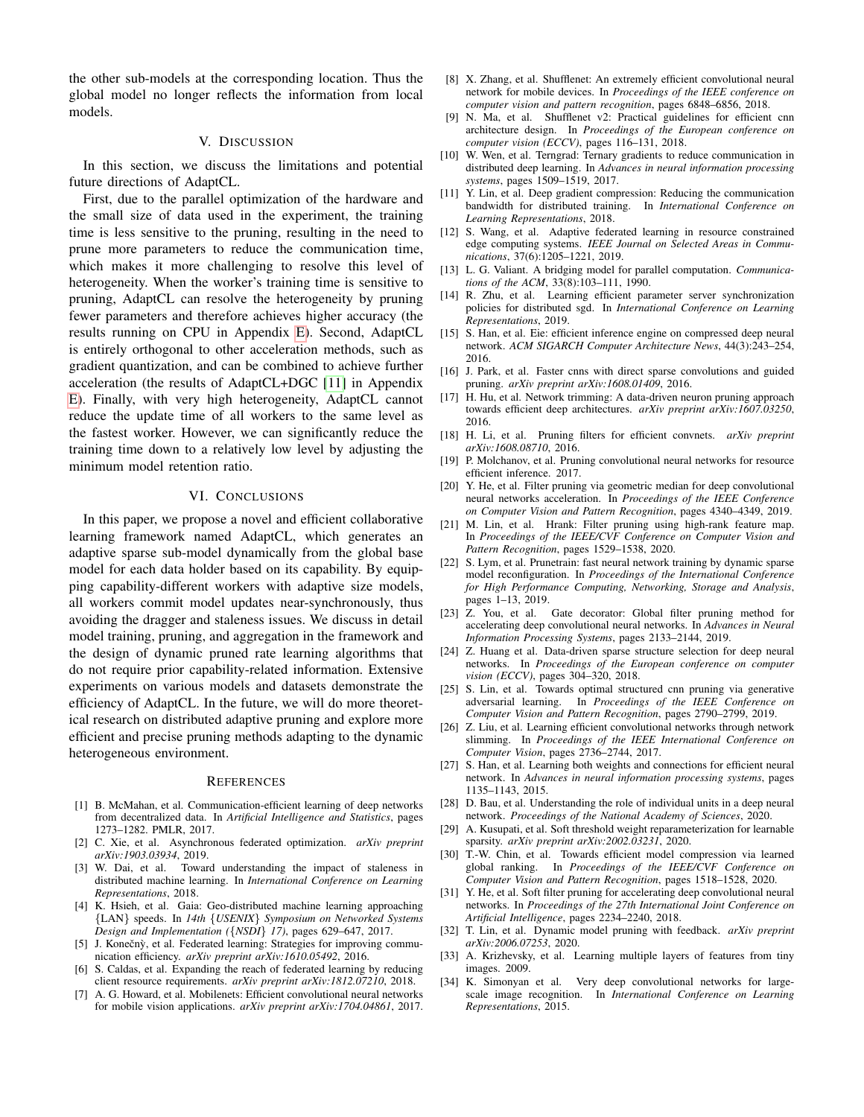the other sub-models at the corresponding location. Thus the global model no longer reflects the information from local models.

## V. DISCUSSION

In this section, we discuss the limitations and potential future directions of AdaptCL.

First, due to the parallel optimization of the hardware and the small size of data used in the experiment, the training time is less sensitive to the pruning, resulting in the need to prune more parameters to reduce the communication time, which makes it more challenging to resolve this level of heterogeneity. When the worker's training time is sensitive to pruning, AdaptCL can resolve the heterogeneity by pruning fewer parameters and therefore achieves higher accuracy (the results running on CPU in Appendix [E\)](#page-13-0). Second, AdaptCL is entirely orthogonal to other acceleration methods, such as gradient quantization, and can be combined to achieve further acceleration (the results of AdaptCL+DGC [\[11\]](#page-7-22) in Appendix [E\)](#page-13-0). Finally, with very high heterogeneity, AdaptCL cannot reduce the update time of all workers to the same level as the fastest worker. However, we can significantly reduce the training time down to a relatively low level by adjusting the minimum model retention ratio.

# VI. CONCLUSIONS

In this paper, we propose a novel and efficient collaborative learning framework named AdaptCL, which generates an adaptive sparse sub-model dynamically from the global base model for each data holder based on its capability. By equipping capability-different workers with adaptive size models, all workers commit model updates near-synchronously, thus avoiding the dragger and staleness issues. We discuss in detail model training, pruning, and aggregation in the framework and the design of dynamic pruned rate learning algorithms that do not require prior capability-related information. Extensive experiments on various models and datasets demonstrate the efficiency of AdaptCL. In the future, we will do more theoretical research on distributed adaptive pruning and explore more efficient and precise pruning methods adapting to the dynamic heterogeneous environment.

#### **REFERENCES**

- <span id="page-7-1"></span>[1] B. McMahan, et al. Communication-efficient learning of deep networks from decentralized data. In *Artificial Intelligence and Statistics*, pages 1273–1282. PMLR, 2017.
- <span id="page-7-31"></span>[2] C. Xie, et al. Asynchronous federated optimization. *arXiv preprint arXiv:1903.03934*, 2019.
- <span id="page-7-0"></span>[3] W. Dai, et al. Toward understanding the impact of staleness in distributed machine learning. In *International Conference on Learning Representations*, 2018.
- <span id="page-7-20"></span>[4] K. Hsieh, et al. Gaia: Geo-distributed machine learning approaching {LAN} speeds. In *14th* {*USENIX*} *Symposium on Networked Systems Design and Implementation (*{*NSDI*} *17)*, pages 629–647, 2017.
- <span id="page-7-21"></span>[5] J. Konečnỳ, et al. Federated learning: Strategies for improving communication efficiency. *arXiv preprint arXiv:1610.05492*, 2016.
- <span id="page-7-23"></span>[6] S. Caldas, et al. Expanding the reach of federated learning by reducing client resource requirements. *arXiv preprint arXiv:1812.07210*, 2018.
- <span id="page-7-25"></span>[7] A. G. Howard, et al. Mobilenets: Efficient convolutional neural networks for mobile vision applications. *arXiv preprint arXiv:1704.04861*, 2017.
- <span id="page-7-26"></span>[8] X. Zhang, et al. Shufflenet: An extremely efficient convolutional neural network for mobile devices. In *Proceedings of the IEEE conference on computer vision and pattern recognition*, pages 6848–6856, 2018.
- <span id="page-7-27"></span>[9] N. Ma, et al. Shufflenet v2: Practical guidelines for efficient cnn architecture design. In *Proceedings of the European conference on computer vision (ECCV)*, pages 116–131, 2018.
- <span id="page-7-19"></span>[10] W. Wen, et al. Terngrad: Ternary gradients to reduce communication in distributed deep learning. In *Advances in neural information processing systems*, pages 1509–1519, 2017.
- <span id="page-7-22"></span>[11] Y. Lin, et al. Deep gradient compression: Reducing the communication bandwidth for distributed training. In *International Conference on Learning Representations*, 2018.
- <span id="page-7-24"></span>[12] S. Wang, et al. Adaptive federated learning in resource constrained edge computing systems. *IEEE Journal on Selected Areas in Communications*, 37(6):1205–1221, 2019.
- <span id="page-7-2"></span>[13] L. G. Valiant. A bridging model for parallel computation. *Communications of the ACM*, 33(8):103–111, 1990.
- <span id="page-7-29"></span>[14] R. Zhu, et al. Learning efficient parameter server synchronization policies for distributed sgd. In *International Conference on Learning Representations*, 2019.
- <span id="page-7-5"></span>[15] S. Han, et al. Eie: efficient inference engine on compressed deep neural network. *ACM SIGARCH Computer Architecture News*, 44(3):243–254, 2016.
- <span id="page-7-4"></span>[16] J. Park, et al. Faster cnns with direct sparse convolutions and guided pruning. *arXiv preprint arXiv:1608.01409*, 2016.
- <span id="page-7-6"></span>[17] H. Hu, et al. Network trimming: A data-driven neuron pruning approach towards efficient deep architectures. *arXiv preprint arXiv:1607.03250*, 2016.
- <span id="page-7-7"></span>[18] H. Li, et al. Pruning filters for efficient convnets. *arXiv preprint arXiv:1608.08710*, 2016.
- <span id="page-7-8"></span>[19] P. Molchanov, et al. Pruning convolutional neural networks for resource efficient inference. 2017.
- <span id="page-7-10"></span>[20] Y. He, et al. Filter pruning via geometric median for deep convolutional neural networks acceleration. In *Proceedings of the IEEE Conference on Computer Vision and Pattern Recognition*, pages 4340–4349, 2019.
- <span id="page-7-3"></span>[21] M. Lin, et al. Hrank: Filter pruning using high-rank feature map. In *Proceedings of the IEEE/CVF Conference on Computer Vision and Pattern Recognition*, pages 1529–1538, 2020.
- <span id="page-7-28"></span>[22] S. Lym, et al. Prunetrain: fast neural network training by dynamic sparse model reconfiguration. In *Proceedings of the International Conference for High Performance Computing, Networking, Storage and Analysis*, pages 1–13, 2019.
- <span id="page-7-11"></span>[23] Z. You, et al. Gate decorator: Global filter pruning method for accelerating deep convolutional neural networks. In *Advances in Neural Information Processing Systems*, pages 2133–2144, 2019.
- [24] Z. Huang et al. Data-driven sparse structure selection for deep neural networks. In *Proceedings of the European conference on computer vision (ECCV)*, pages 304–320, 2018.
- <span id="page-7-12"></span>[25] S. Lin, et al. Towards optimal structured cnn pruning via generative adversarial learning. In *Proceedings of the IEEE Conference on Computer Vision and Pattern Recognition*, pages 2790–2799, 2019.
- <span id="page-7-9"></span>[26] Z. Liu, et al. Learning efficient convolutional networks through network slimming. In *Proceedings of the IEEE International Conference on Computer Vision*, pages 2736–2744, 2017.
- <span id="page-7-14"></span>[27] S. Han, et al. Learning both weights and connections for efficient neural network. In *Advances in neural information processing systems*, pages 1135–1143, 2015.
- <span id="page-7-13"></span>[28] D. Bau, et al. Understanding the role of individual units in a deep neural network. *Proceedings of the National Academy of Sciences*, 2020.
- <span id="page-7-16"></span>[29] A. Kusupati, et al. Soft threshold weight reparameterization for learnable sparsity. *arXiv preprint arXiv:2002.03231*, 2020.
- <span id="page-7-15"></span>[30] T.-W. Chin, et al. Towards efficient model compression via learned global ranking. In *Proceedings of the IEEE/CVF Conference on Computer Vision and Pattern Recognition*, pages 1518–1528, 2020.
- <span id="page-7-17"></span>[31] Y. He, et al. Soft filter pruning for accelerating deep convolutional neural networks. In *Proceedings of the 27th International Joint Conference on Artificial Intelligence*, pages 2234–2240, 2018.
- <span id="page-7-18"></span>[32] T. Lin, et al. Dynamic model pruning with feedback. *arXiv preprint arXiv:2006.07253*, 2020.
- <span id="page-7-30"></span>[33] A. Krizhevsky, et al. Learning multiple layers of features from tiny images. 2009.
- [34] K. Simonyan et al. Very deep convolutional networks for largescale image recognition. In *International Conference on Learning Representations*, 2015.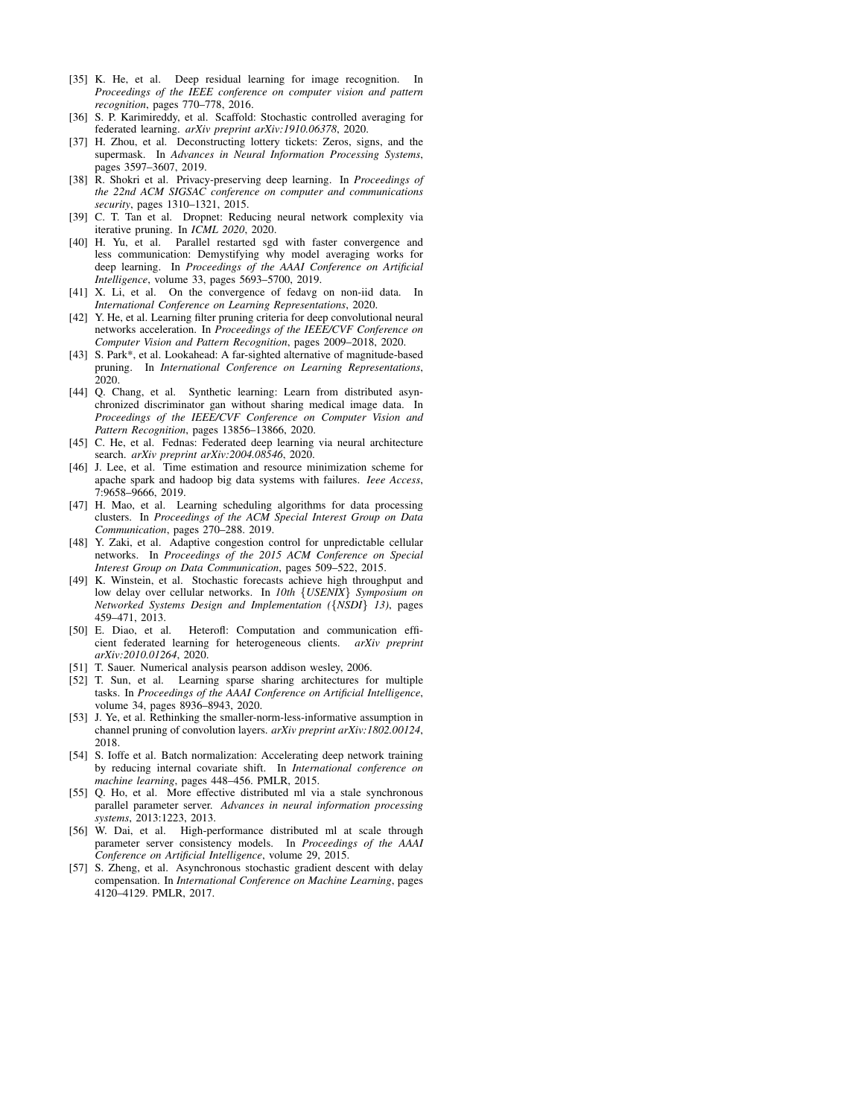- <span id="page-8-10"></span>[35] K. He, et al. Deep residual learning for image recognition. In *Proceedings of the IEEE conference on computer vision and pattern recognition*, pages 770–778, 2016.
- <span id="page-8-12"></span>[36] S. P. Karimireddy, et al. Scaffold: Stochastic controlled averaging for federated learning. *arXiv preprint arXiv:1910.06378*, 2020.
- <span id="page-8-4"></span>[37] H. Zhou, et al. Deconstructing lottery tickets: Zeros, signs, and the supermask. In *Advances in Neural Information Processing Systems*, pages 3597–3607, 2019.
- <span id="page-8-0"></span>[38] R. Shokri et al. Privacy-preserving deep learning. In *Proceedings of the 22nd ACM SIGSAC conference on computer and communications security*, pages 1310–1321, 2015.
- <span id="page-8-1"></span>[39] C. T. Tan et al. Dropnet: Reducing neural network complexity via iterative pruning. In *ICML 2020*, 2020.
- [40] H. Yu, et al. Parallel restarted sgd with faster convergence and less communication: Demystifying why model averaging works for deep learning. In *Proceedings of the AAAI Conference on Artificial Intelligence*, volume 33, pages 5693–5700, 2019.
- [41] X. Li, et al. On the convergence of fedavg on non-iid data. In *International Conference on Learning Representations*, 2020.
- [42] Y. He, et al. Learning filter pruning criteria for deep convolutional neural networks acceleration. In *Proceedings of the IEEE/CVF Conference on Computer Vision and Pattern Recognition*, pages 2009–2018, 2020.
- [43] S. Park\*, et al. Lookahead: A far-sighted alternative of magnitude-based pruning. In *International Conference on Learning Representations*, 2020.
- [44] Q. Chang, et al. Synthetic learning: Learn from distributed asynchronized discriminator gan without sharing medical image data. In *Proceedings of the IEEE/CVF Conference on Computer Vision and Pattern Recognition*, pages 13856–13866, 2020.
- [45] C. He, et al. Fednas: Federated deep learning via neural architecture search. *arXiv preprint arXiv:2004.08546*, 2020.
- [46] J. Lee, et al. Time estimation and resource minimization scheme for apache spark and hadoop big data systems with failures. *Ieee Access*, 7:9658–9666, 2019.
- [47] H. Mao, et al. Learning scheduling algorithms for data processing clusters. In *Proceedings of the ACM Special Interest Group on Data Communication*, pages 270–288. 2019.
- [48] Y. Zaki, et al. Adaptive congestion control for unpredictable cellular networks. In *Proceedings of the 2015 ACM Conference on Special Interest Group on Data Communication*, pages 509–522, 2015.
- [49] K. Winstein, et al. Stochastic forecasts achieve high throughput and low delay over cellular networks. In *10th* {*USENIX*} *Symposium on Networked Systems Design and Implementation (*{*NSDI*} *13)*, pages 459–471, 2013.<br>[50] E. Diao, et al.
- <span id="page-8-6"></span>Heterofl: Computation and communication efficient federated learning for heterogeneous clients. *arXiv preprint arXiv:2010.01264*, 2020.
- <span id="page-8-5"></span>[51] T. Sauer. Numerical analysis pearson addison wesley, 2006.
- <span id="page-8-7"></span>[52] T. Sun, et al. Learning sparse sharing architectures for multiple tasks. In *Proceedings of the AAAI Conference on Artificial Intelligence*, volume 34, pages 8936–8943, 2020.
- <span id="page-8-9"></span>[53] J. Ye, et al. Rethinking the smaller-norm-less-informative assumption in channel pruning of convolution layers. *arXiv preprint arXiv:1802.00124*, 2018.
- <span id="page-8-8"></span>[54] S. Ioffe et al. Batch normalization: Accelerating deep network training by reducing internal covariate shift. In *International conference on machine learning*, pages 448–456. PMLR, 2015.
- <span id="page-8-2"></span>[55] Q. Ho, et al. More effective distributed ml via a stale synchronous parallel parameter server. *Advances in neural information processing systems*, 2013:1223, 2013.
- <span id="page-8-3"></span>[56] W. Dai, et al. High-performance distributed ml at scale through parameter server consistency models. In *Proceedings of the AAAI Conference on Artificial Intelligence*, volume 29, 2015.
- <span id="page-8-11"></span>[57] S. Zheng, et al. Asynchronous stochastic gradient descent with delay compensation. In *International Conference on Machine Learning*, pages 4120–4129. PMLR, 2017.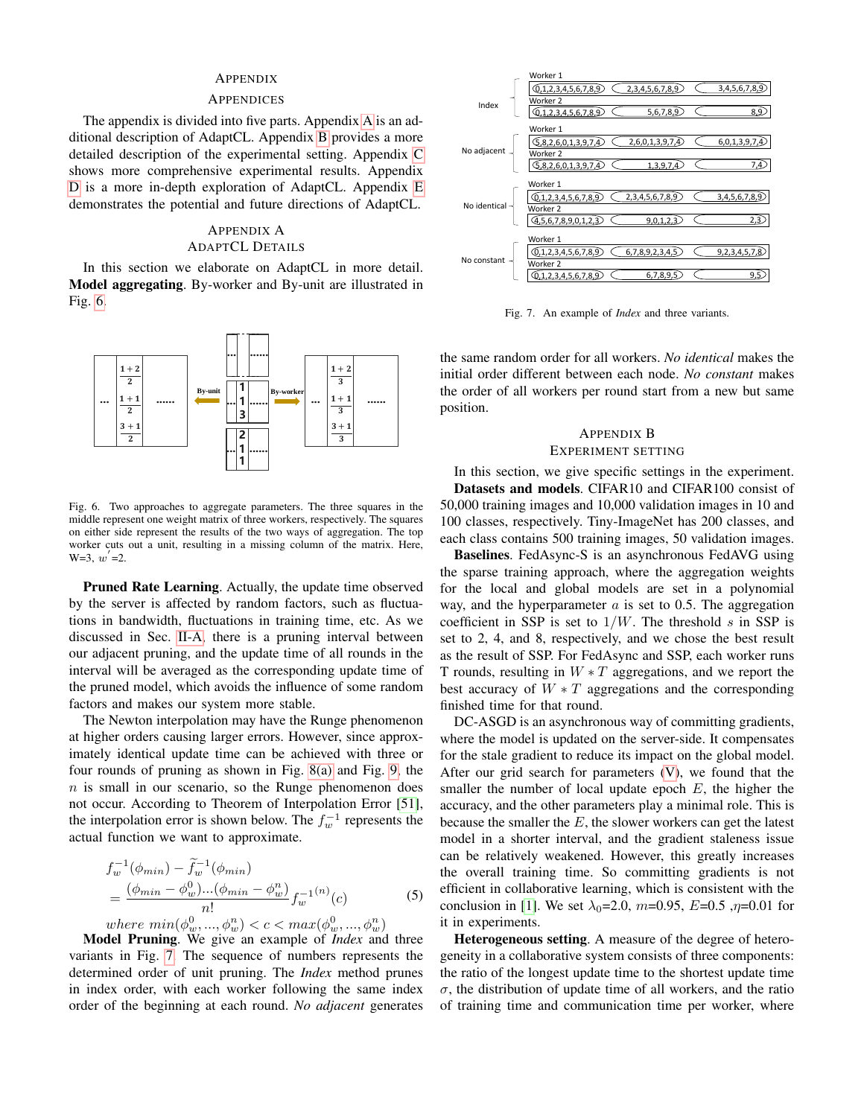## APPENDIX

#### **APPENDICES**

The appendix is divided into five parts. Appendix [A](#page-9-0) is an additional description of AdaptCL. Appendix [B](#page-9-2) provides a more detailed description of the experimental setting. Appendix [C](#page-10-0) shows more comprehensive experimental results. Appendix [D](#page-12-0) is a more in-depth exploration of AdaptCL. Appendix [E](#page-13-0) demonstrates the potential and future directions of AdaptCL.

# <span id="page-9-0"></span>APPENDIX A ADAPTCL DETAILS

In this section we elaborate on AdaptCL in more detail. Model aggregating. By-worker and By-unit are illustrated in Fig. [6.](#page-9-1)



<span id="page-9-1"></span>Fig. 6. Two approaches to aggregate parameters. The three squares in the middle represent one weight matrix of three workers, respectively. The squares on either side represent the results of the two ways of aggregation. The top worker cuts out a unit, resulting in a missing column of the matrix. Here,  $W=3, w'=2.$ 

Pruned Rate Learning. Actually, the update time observed by the server is affected by random factors, such as fluctuations in bandwidth, fluctuations in training time, etc. As we discussed in Sec. [II-A,](#page-1-0) there is a pruning interval between our adjacent pruning, and the update time of all rounds in the interval will be averaged as the corresponding update time of the pruned model, which avoids the influence of some random factors and makes our system more stable.

The Newton interpolation may have the Runge phenomenon at higher orders causing larger errors. However, since approximately identical update time can be achieved with three or four rounds of pruning as shown in Fig. [8\(a\)](#page-12-1) and Fig. [9,](#page-12-2) the  $n$  is small in our scenario, so the Runge phenomenon does not occur. According to Theorem of Interpolation Error [\[51\]](#page-8-5), the interpolation error is shown below. The  $f_w^{-1}$  represents the actual function we want to approximate.

$$
f_w^{-1}(\phi_{min}) - \tilde{f}_w^{-1}(\phi_{min})
$$
  
= 
$$
\frac{(\phi_{min} - \phi_w^0) \dots (\phi_{min} - \phi_w^n)}{n!} f_w^{-1(n)}(c)
$$
  
where 
$$
\min(\phi_w^0, ..., \phi_w^n) < c < \max(\phi_w^0, ..., \phi_w^n)
$$
 (5)

Model Pruning. We give an example of *Index* and three variants in Fig. [7.](#page-9-3) The sequence of numbers represents the determined order of unit pruning. The *Index* method prunes in index order, with each worker following the same index order of the beginning at each round. *No adjacent* generates



<span id="page-9-3"></span>Fig. 7. An example of *Index* and three variants.

the same random order for all workers. *No identical* makes the initial order different between each node. *No constant* makes the order of all workers per round start from a new but same position.

## <span id="page-9-2"></span>APPENDIX B EXPERIMENT SETTING

In this section, we give specific settings in the experiment. Datasets and models. CIFAR10 and CIFAR100 consist of 50,000 training images and 10,000 validation images in 10 and 100 classes, respectively. Tiny-ImageNet has 200 classes, and each class contains 500 training images, 50 validation images.

Baselines. FedAsync-S is an asynchronous FedAVG using the sparse training approach, where the aggregation weights for the local and global models are set in a polynomial way, and the hyperparameter  $a$  is set to 0.5. The aggregation coefficient in SSP is set to  $1/W$ . The threshold s in SSP is set to 2, 4, and 8, respectively, and we chose the best result as the result of SSP. For FedAsync and SSP, each worker runs T rounds, resulting in  $W * T$  aggregations, and we report the best accuracy of  $W * T$  aggregations and the corresponding finished time for that round.

DC-ASGD is an asynchronous way of committing gradients, where the model is updated on the server-side. It compensates for the stale gradient to reduce its impact on the global model. After our grid search for parameters [\(V\)](#page-10-1), we found that the smaller the number of local update epoch  $E$ , the higher the accuracy, and the other parameters play a minimal role. This is because the smaller the  $E$ , the slower workers can get the latest model in a shorter interval, and the gradient staleness issue can be relatively weakened. However, this greatly increases the overall training time. So committing gradients is not efficient in collaborative learning, which is consistent with the conclusion in [\[1\]](#page-7-1). We set  $\lambda_0 = 2.0$ ,  $m = 0.95$ ,  $E = 0.5$ ,  $\eta = 0.01$  for it in experiments.

Heterogeneous setting. A measure of the degree of heterogeneity in a collaborative system consists of three components: the ratio of the longest update time to the shortest update time  $\sigma$ , the distribution of update time of all workers, and the ratio of training time and communication time per worker, where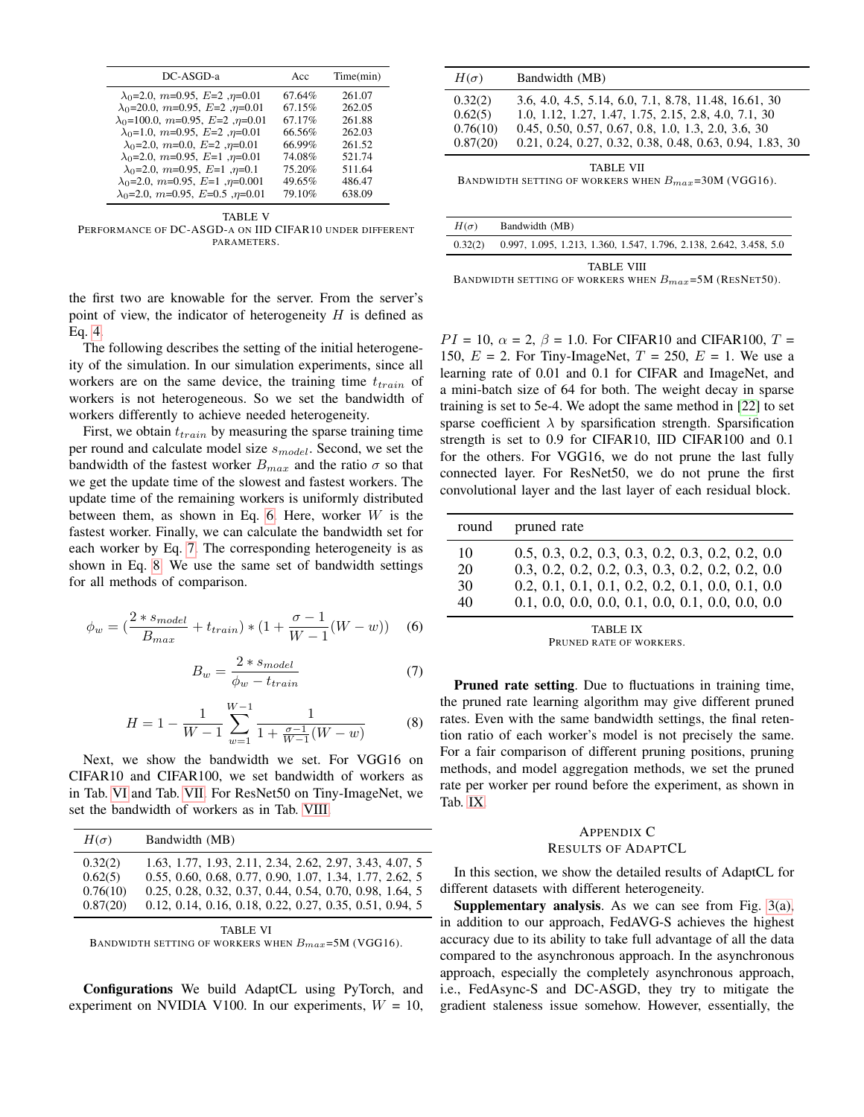| DC-ASGD-a                                     | Acc    | Time(min) |
|-----------------------------------------------|--------|-----------|
| $\lambda_0$ =2.0, m=0.95, E=2, $\eta$ =0.01   | 67.64% | 261.07    |
| $\lambda_0$ =20.0, m=0.95, E=2, $n$ =0.01     | 67.15% | 262.05    |
| $\lambda_0$ =100.0, m=0.95, E=2, $\eta$ =0.01 | 67.17% | 261.88    |
| $\lambda_0$ =1.0, m=0.95, E=2, $\eta$ =0.01   | 66.56% | 262.03    |
| $\lambda_0$ =2.0, m=0.0, E=2, n=0.01          | 66.99% | 261.52    |
| $\lambda_0$ =2.0, m=0.95, E=1, $\eta$ =0.01   | 74.08% | 521.74    |
| $\lambda_0$ =2.0, m=0.95, E=1, $\eta$ =0.1    | 75.20% | 511.64    |
| $\lambda_0$ =2.0, m=0.95, E=1, $\eta$ =0.001  | 49.65% | 486.47    |
| $\lambda_0$ =2.0, m=0.95, E=0.5, $n=0.01$     | 79.10% | 638.09    |

<span id="page-10-1"></span>TABLE V PERFORMANCE OF DC-ASGD-A ON IID CIFAR10 UNDER DIFFERENT PARAMETERS.

the first two are knowable for the server. From the server's point of view, the indicator of heterogeneity  $H$  is defined as Eq. [4.](#page-5-5)

The following describes the setting of the initial heterogeneity of the simulation. In our simulation experiments, since all workers are on the same device, the training time  $t_{train}$  of workers is not heterogeneous. So we set the bandwidth of workers differently to achieve needed heterogeneity.

First, we obtain  $t_{train}$  by measuring the sparse training time per round and calculate model size  $s_{model}$ . Second, we set the bandwidth of the fastest worker  $B_{max}$  and the ratio  $\sigma$  so that we get the update time of the slowest and fastest workers. The update time of the remaining workers is uniformly distributed between them, as shown in Eq. [6.](#page-10-2) Here, worker  $W$  is the fastest worker. Finally, we can calculate the bandwidth set for each worker by Eq. [7.](#page-10-3) The corresponding heterogeneity is as shown in Eq. [8.](#page-10-4) We use the same set of bandwidth settings for all methods of comparison.

<span id="page-10-2"></span>
$$
\phi_w = \left(\frac{2 * s_{model}}{B_{max}} + t_{train}\right) * \left(1 + \frac{\sigma - 1}{W - 1}(W - w)\right) \tag{6}
$$

<span id="page-10-3"></span>
$$
B_w = \frac{2 * s_{model}}{\phi_w - t_{train}}\tag{7}
$$

<span id="page-10-4"></span>
$$
H = 1 - \frac{1}{W - 1} \sum_{w=1}^{W - 1} \frac{1}{1 + \frac{\sigma - 1}{W - 1}(W - w)}
$$
(8)

Next, we show the bandwidth we set. For VGG16 on CIFAR10 and CIFAR100, we set bandwidth of workers as in Tab. [VI](#page-10-5) and Tab. [VII.](#page-10-6) For ResNet50 on Tiny-ImageNet, we set the bandwidth of workers as in Tab. [VIII.](#page-10-7)

| $H(\sigma)$         | Bandwidth (MB)                                                                                                     |
|---------------------|--------------------------------------------------------------------------------------------------------------------|
| 0.32(2)             | 1.63, 1.77, 1.93, 2.11, 2.34, 2.62, 2.97, 3.43, 4.07, 5                                                            |
| 0.62(5)<br>0.76(10) | 0.55, 0.60, 0.68, 0.77, 0.90, 1.07, 1.34, 1.77, 2.62, 5<br>0.25, 0.28, 0.32, 0.37, 0.44, 0.54, 0.70, 0.98, 1.64, 5 |
| 0.87(20)            | 0.12, 0.14, 0.16, 0.18, 0.22, 0.27, 0.35, 0.51, 0.94, 5                                                            |

<span id="page-10-5"></span>TABLE VI BANDWIDTH SETTING OF WORKERS WHEN  $B_{max}$ =5M (VGG16).

Configurations We build AdaptCL using PyTorch, and experiment on NVIDIA V100. In our experiments,  $W = 10$ ,

| $H(\sigma)$                                                                   | Bandwidth (MB)                                                                                                                                                                                                                   |  |  |  |  |
|-------------------------------------------------------------------------------|----------------------------------------------------------------------------------------------------------------------------------------------------------------------------------------------------------------------------------|--|--|--|--|
| 0.32(2)<br>0.62(5)<br>0.76(10)<br>0.87(20)                                    | 3.6, 4.0, 4.5, 5.14, 6.0, 7.1, 8.78, 11.48, 16.61, 30<br>1.0, 1.12, 1.27, 1.47, 1.75, 2.15, 2.8, 4.0, 7.1, 30<br>0.45, 0.50, 0.57, 0.67, 0.8, 1.0, 1.3, 2.0, 3.6, 30<br>0.21, 0.24, 0.27, 0.32, 0.38, 0.48, 0.63, 0.94, 1.83, 30 |  |  |  |  |
| <b>TABLE VII</b><br>BANDWIDTH SETTING OF WORKERS WHEN $B_{max}$ =30M (VGG16). |                                                                                                                                                                                                                                  |  |  |  |  |

<span id="page-10-6"></span>

| $H(\sigma)$ | Bandwidth (MB)                                                     |
|-------------|--------------------------------------------------------------------|
| 0.32(2)     | 0.997, 1.095, 1.213, 1.360, 1.547, 1.796, 2.138, 2.642, 3.458, 5.0 |
|             | <b>TABLE VIII</b>                                                  |

<span id="page-10-7"></span>BANDWIDTH SETTING OF WORKERS WHEN  $B_{max}$ =5M (RESNET50).

 $PI = 10$ ,  $\alpha = 2$ ,  $\beta = 1.0$ . For CIFAR10 and CIFAR100,  $T =$ 150,  $E = 2$ . For Tiny-ImageNet,  $T = 250$ ,  $E = 1$ . We use a learning rate of 0.01 and 0.1 for CIFAR and ImageNet, and a mini-batch size of 64 for both. The weight decay in sparse training is set to 5e-4. We adopt the same method in [\[22\]](#page-7-28) to set sparse coefficient  $\lambda$  by sparsification strength. Sparsification strength is set to 0.9 for CIFAR10, IID CIFAR100 and 0.1 for the others. For VGG16, we do not prune the last fully connected layer. For ResNet50, we do not prune the first convolutional layer and the last layer of each residual block.

| round                | pruned rate                                                                                                                                                    |
|----------------------|----------------------------------------------------------------------------------------------------------------------------------------------------------------|
| 10<br>20<br>30<br>40 | $0.5, 0.3, 0.2, 0.3, 0.3, 0.2, 0.3, 0.2, 0.2, 0.0$<br>$0.3, 0.2, 0.2, 0.2, 0.3, 0.3, 0.2, 0.2, 0.2, 0.0$<br>$0.2, 0.1, 0.1, 0.1, 0.2, 0.2, 0.1, 0.0, 0.1, 0.0$ |
|                      |                                                                                                                                                                |

TABLE IX PRUNED RATE OF WORKERS.

<span id="page-10-8"></span>Pruned rate setting. Due to fluctuations in training time, the pruned rate learning algorithm may give different pruned rates. Even with the same bandwidth settings, the final retention ratio of each worker's model is not precisely the same. For a fair comparison of different pruning positions, pruning methods, and model aggregation methods, we set the pruned rate per worker per round before the experiment, as shown in Tab. [IX.](#page-10-8)

#### <span id="page-10-0"></span>APPENDIX C RESULTS OF ADAPTCL

In this section, we show the detailed results of AdaptCL for different datasets with different heterogeneity.

Supplementary analysis. As we can see from Fig. [3\(a\),](#page-5-7) in addition to our approach, FedAVG-S achieves the highest accuracy due to its ability to take full advantage of all the data compared to the asynchronous approach. In the asynchronous approach, especially the completely asynchronous approach, i.e., FedAsync-S and DC-ASGD, they try to mitigate the gradient staleness issue somehow. However, essentially, the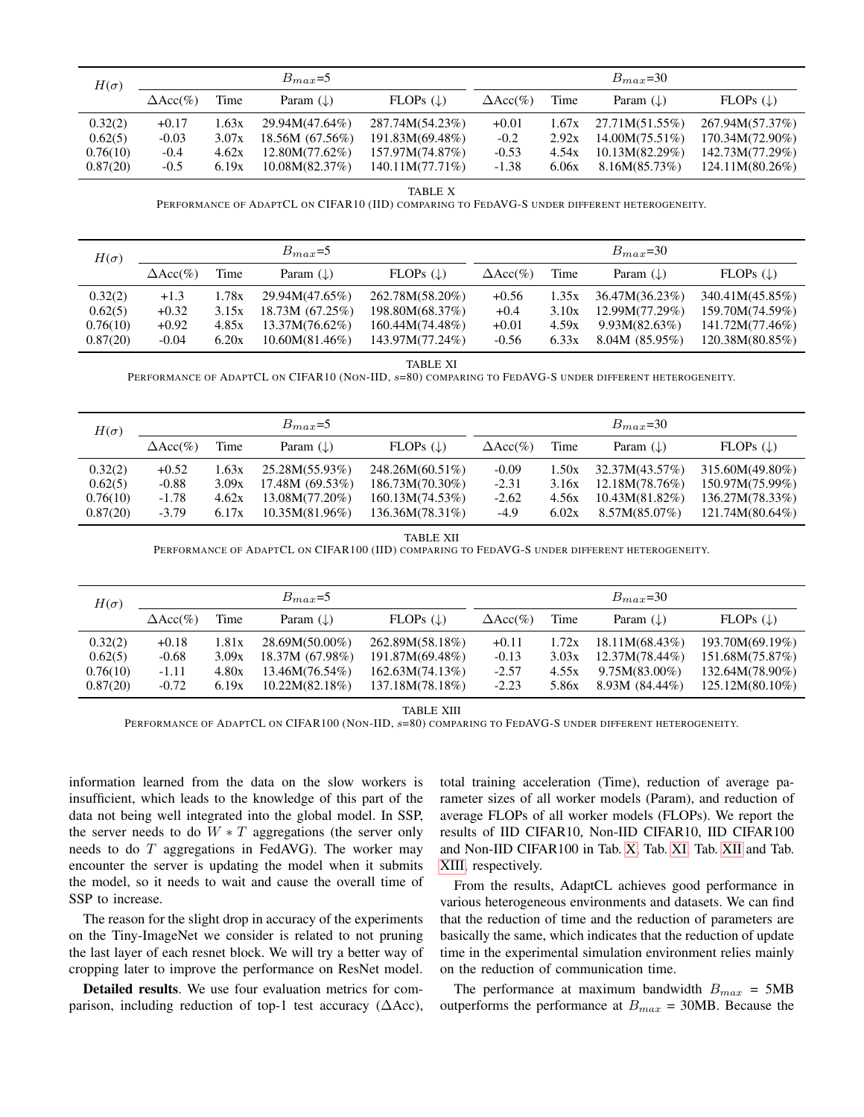| $H(\sigma)$ |                  |       | $B_{max}=5$          |                      |                  |       | $B_{max}=30$         |                      |
|-------------|------------------|-------|----------------------|----------------------|------------------|-------|----------------------|----------------------|
|             | $\Delta Acc(\%)$ | Time  | Param $(\downarrow)$ | FLOPs $(\downarrow)$ | $\Delta Acc(\%)$ | Time  | Param $(\downarrow)$ | FLOPs $(\downarrow)$ |
| 0.32(2)     | $+0.17$          | 1.63x | 29.94M(47.64%)       | 287.74M(54.23%)      | $+0.01$          | 1.67x | 27.71M(51.55%)       | 267.94M(57.37%)      |
| 0.62(5)     | $-0.03$          | 3.07x | 18.56M(67.56%)       | 191.83M(69.48%)      | $-0.2$           | 2.92x | $14.00M(75.51\%)$    | 170.34M(72.90%)      |
| 0.76(10)    | $-0.4$           | 4.62x | 12.80M(77.62%)       | 157.97M(74.87%)      | $-0.53$          | 4.54x | 10.13M(82.29%)       | 142.73M(77.29%)      |
| 0.87(20)    | $-0.5$           | 6.19x | 10.08M(82.37%)       | 140.11M(77.71%)      | $-1.38$          | 6.06x | 8.16M(85.73%)        | 124.11M(80.26%)      |

TABLE X

PERFORMANCE OF ADAPTCL ON CIFAR10 (IID) COMPARING TO FEDAVG-S UNDER DIFFERENT HETEROGENEITY.

<span id="page-11-0"></span>

| $H(\sigma)$                    |                              |                         | $B_{max}=5$                                        |                                                       |                              |                         | $B_{max}=30$                                      |                                                       |
|--------------------------------|------------------------------|-------------------------|----------------------------------------------------|-------------------------------------------------------|------------------------------|-------------------------|---------------------------------------------------|-------------------------------------------------------|
|                                | $\Delta Acc(\%)$             | Time                    | Param $(\downarrow)$                               | FLOPs $(\downarrow)$                                  | $\Delta Acc(\%)$             | Time                    | Param $(\downarrow)$                              | FLOPs $(\downarrow)$                                  |
| 0.32(2)<br>0.62(5)<br>0.76(10) | $+1.3$<br>$+0.32$<br>$+0.92$ | 1.78x<br>3.15x<br>4.85x | 29.94M(47.65%)<br>18.73M(67.25%)<br>13.37M(76.62%) | 262.78M(58.20%)<br>198.80M(68.37%)<br>160.44M(74.48%) | $+0.56$<br>$+0.4$<br>$+0.01$ | 1.35x<br>3.10x<br>4.59x | 36.47M(36.23%)<br>12.99M(77.29%)<br>9.93M(82.63%) | 340.41M(45.85%)<br>159.70M(74.59%)<br>141.72M(77.46%) |
| 0.87(20)                       | $-0.04$                      | 6.20x                   | $10.60M(81.46\%)$                                  | 143.97M(77.24%)                                       | $-0.56$                      | 6.33x                   | 8.04M(85.95%)                                     | 120.38M(80.85%)                                       |

TABLE XI

PERFORMANCE OF ADAPTCL ON CIFAR10 (NON-IID,  $s=80$ ) COMPARING TO FEDAVG-S UNDER DIFFERENT HETEROGENEITY.

<span id="page-11-1"></span>

| $H(\sigma)$ |                  |       | $B_{max}=5$          |                      |                  |       | $B_{max}=30$         |                      |
|-------------|------------------|-------|----------------------|----------------------|------------------|-------|----------------------|----------------------|
|             | $\Delta Acc(\%)$ | Time  | Param $(\downarrow)$ | FLOPs $(\downarrow)$ | $\Delta Acc(\%)$ | Time  | Param $(\downarrow)$ | FLOPs $(\downarrow)$ |
| 0.32(2)     | $+0.52$          | 1.63x | 25.28M(55.93%)       | 248.26M(60.51%)      | $-0.09$          | 1.50x | 32.37M(43.57%)       | 315.60M(49.80%)      |
| 0.62(5)     | $-0.88$          | 3.09x | 17.48M(69.53%)       | 186.73M(70.30%)      | $-2.31$          | 3.16x | 12.18M(78.76%)       | 150.97M(75.99%)      |
| 0.76(10)    | $-1.78$          | 4.62x | 13.08M(77.20%)       | 160.13M(74.53%)      | $-2.62$          | 4.56x | 10.43M(81.82%)       | 136.27M(78.33%)      |
| 0.87(20)    | $-3.79$          | 6.17x | 10.35M(81.96%)       | 136.36M(78.31%)      | $-4.9$           | 6.02x | $8.57M(85.07\%)$     | 121.74M(80.64%)      |

TABLE XII PERFORMANCE OF ADAPTCL ON CIFAR100 (IID) COMPARING TO FEDAVG-S UNDER DIFFERENT HETEROGENEITY.

<span id="page-11-2"></span>

| $H(\sigma)$                                | $B_{max}=5$                              |                                  |                                                                          | $B_{max}=30$                                                             |                                          |                                  |                                                                              |                                                                             |
|--------------------------------------------|------------------------------------------|----------------------------------|--------------------------------------------------------------------------|--------------------------------------------------------------------------|------------------------------------------|----------------------------------|------------------------------------------------------------------------------|-----------------------------------------------------------------------------|
|                                            | $\Delta Acc(\%)$                         | Time                             | Param $(\downarrow)$                                                     | FLOPs $(\downarrow)$                                                     | $\Delta Acc(\%)$                         | Time                             | Param $(\downarrow)$                                                         | FLOPs $(\downarrow)$                                                        |
| 0.32(2)<br>0.62(5)<br>0.76(10)<br>0.87(20) | $+0.18$<br>$-0.68$<br>$-1.11$<br>$-0.72$ | 1.81x<br>3.09x<br>4.80x<br>6.19x | $28.69M(50.00\%)$<br>18.37M (67.98%)<br>13.46M(76.54%)<br>10.22M(82.18%) | 262.89M(58.18%)<br>191.87M(69.48%)<br>162.63M(74.13%)<br>137.18M(78.18%) | $+0.11$<br>$-0.13$<br>$-2.57$<br>$-2.23$ | 1.72x<br>3.03x<br>4.55x<br>5.86x | 18.11M(68.43%)<br>$12.37M(78.44\%)$<br>$9.75M(83.00\%)$<br>8.93M $(84.44\%)$ | 193.70M(69.19%)<br>151.68M(75.87%)<br>132.64M(78.90%)<br>$125.12M(80.10\%)$ |

TABLE XIII

<span id="page-11-3"></span>PERFORMANCE OF ADAPTCL ON CIFAR100 (NON-IID, s=80) COMPARING TO FEDAVG-S UNDER DIFFERENT HETEROGENEITY.

information learned from the data on the slow workers is insufficient, which leads to the knowledge of this part of the data not being well integrated into the global model. In SSP, the server needs to do  $W * T$  aggregations (the server only needs to do  $T$  aggregations in FedAVG). The worker may encounter the server is updating the model when it submits the model, so it needs to wait and cause the overall time of SSP to increase.

The reason for the slight drop in accuracy of the experiments on the Tiny-ImageNet we consider is related to not pruning the last layer of each resnet block. We will try a better way of cropping later to improve the performance on ResNet model.

Detailed results. We use four evaluation metrics for comparison, including reduction of top-1 test accuracy ( $\Delta$ Acc), total training acceleration (Time), reduction of average parameter sizes of all worker models (Param), and reduction of average FLOPs of all worker models (FLOPs). We report the results of IID CIFAR10, Non-IID CIFAR10, IID CIFAR100 and Non-IID CIFAR100 in Tab. [X,](#page-11-0) Tab. [XI,](#page-11-1) Tab. [XII](#page-11-2) and Tab. [XIII,](#page-11-3) respectively.

From the results, AdaptCL achieves good performance in various heterogeneous environments and datasets. We can find that the reduction of time and the reduction of parameters are basically the same, which indicates that the reduction of update time in the experimental simulation environment relies mainly on the reduction of communication time.

The performance at maximum bandwidth  $B_{max} = 5MB$ outperforms the performance at  $B_{max} = 30MB$ . Because the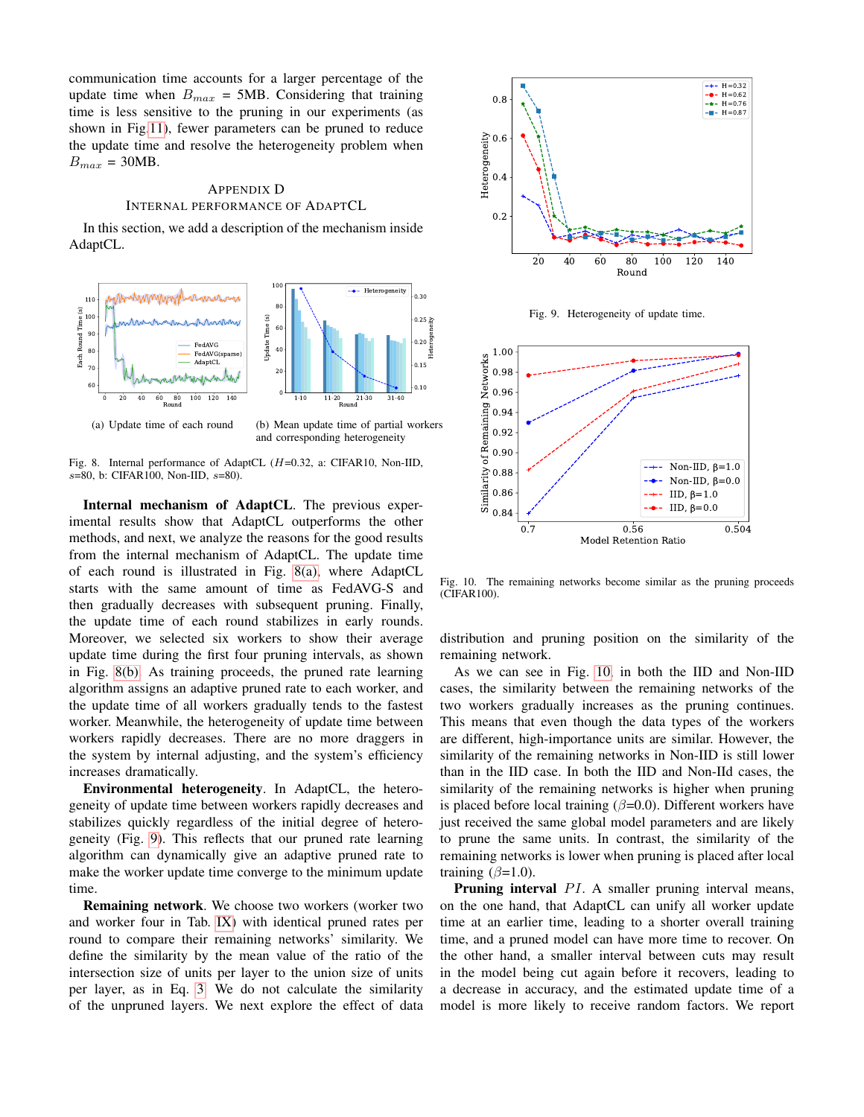communication time accounts for a larger percentage of the update time when  $B_{max} = 5MB$ . Considering that training time is less sensitive to the pruning in our experiments (as shown in Fig[.11\)](#page-13-1), fewer parameters can be pruned to reduce the update time and resolve the heterogeneity problem when  $B_{max} = 30MB$ .

## <span id="page-12-0"></span>APPENDIX D INTERNAL PERFORMANCE OF ADAPTCL

In this section, we add a description of the mechanism inside AdaptCL.

<span id="page-12-1"></span>

<span id="page-12-3"></span>Fig. 8. Internal performance of AdaptCL (H=0.32, a: CIFAR10, Non-IID, s=80, b: CIFAR100, Non-IID, s=80).

Internal mechanism of AdaptCL. The previous experimental results show that AdaptCL outperforms the other methods, and next, we analyze the reasons for the good results from the internal mechanism of AdaptCL. The update time of each round is illustrated in Fig. [8\(a\),](#page-12-1) where AdaptCL starts with the same amount of time as FedAVG-S and then gradually decreases with subsequent pruning. Finally, the update time of each round stabilizes in early rounds. Moreover, we selected six workers to show their average update time during the first four pruning intervals, as shown in Fig. [8\(b\).](#page-12-3) As training proceeds, the pruned rate learning algorithm assigns an adaptive pruned rate to each worker, and the update time of all workers gradually tends to the fastest worker. Meanwhile, the heterogeneity of update time between workers rapidly decreases. There are no more draggers in the system by internal adjusting, and the system's efficiency increases dramatically.

Environmental heterogeneity. In AdaptCL, the heterogeneity of update time between workers rapidly decreases and stabilizes quickly regardless of the initial degree of heterogeneity (Fig. [9\)](#page-12-2). This reflects that our pruned rate learning algorithm can dynamically give an adaptive pruned rate to make the worker update time converge to the minimum update time.

Remaining network. We choose two workers (worker two and worker four in Tab. [IX\)](#page-10-8) with identical pruned rates per round to compare their remaining networks' similarity. We define the similarity by the mean value of the ratio of the intersection size of units per layer to the union size of units per layer, as in Eq. [3.](#page-4-1) We do not calculate the similarity of the unpruned layers. We next explore the effect of data



<span id="page-12-2"></span>Fig. 9. Heterogeneity of update time.



<span id="page-12-4"></span>Fig. 10. The remaining networks become similar as the pruning proceeds (CIFAR100).

distribution and pruning position on the similarity of the remaining network.

As we can see in Fig. [10,](#page-12-4) in both the IID and Non-IID cases, the similarity between the remaining networks of the two workers gradually increases as the pruning continues. This means that even though the data types of the workers are different, high-importance units are similar. However, the similarity of the remaining networks in Non-IID is still lower than in the IID case. In both the IID and Non-IId cases, the similarity of the remaining networks is higher when pruning is placed before local training ( $\beta$ =0.0). Different workers have just received the same global model parameters and are likely to prune the same units. In contrast, the similarity of the remaining networks is lower when pruning is placed after local training  $(\beta=1.0)$ .

**Pruning interval**  $PI$ . A smaller pruning interval means, on the one hand, that AdaptCL can unify all worker update time at an earlier time, leading to a shorter overall training time, and a pruned model can have more time to recover. On the other hand, a smaller interval between cuts may result in the model being cut again before it recovers, leading to a decrease in accuracy, and the estimated update time of a model is more likely to receive random factors. We report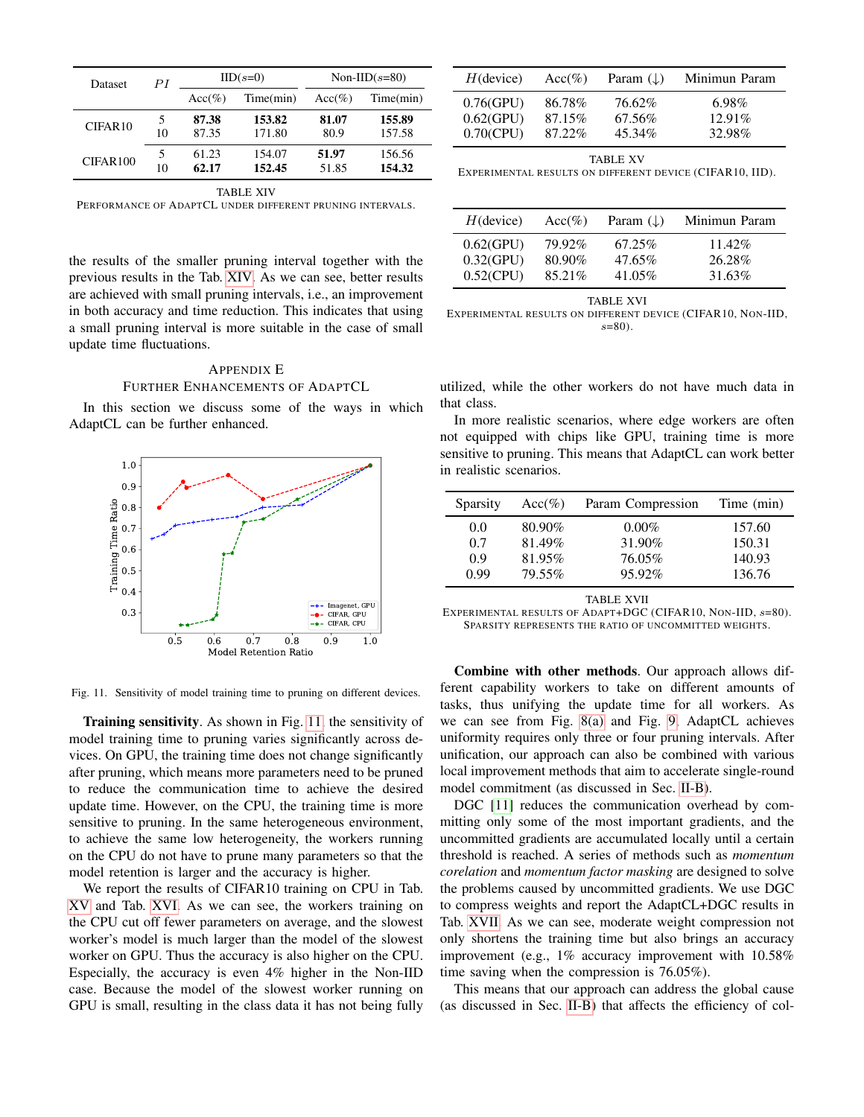| Dataset  | PI      | $IID(s=0)$     |                  | Non-IID $(s=80)$ |                  |
|----------|---------|----------------|------------------|------------------|------------------|
|          |         | $Acc(\%)$      | Time(min)        | $Acc(\%)$        | Time(min)        |
| CIFAR10  | 5<br>10 | 87.38<br>87.35 | 153.82<br>171.80 | 81.07<br>80.9    | 155.89<br>157.58 |
| CIFAR100 | 5<br>10 | 61.23<br>62.17 | 154.07<br>152.45 | 51.97<br>51.85   | 156.56<br>154.32 |
|          |         |                | TABLE XIV        |                  |                  |

<span id="page-13-2"></span>PERFORMANCE OF ADAPTCL UNDER DIFFERENT PRUNING INTERVALS.

the results of the smaller pruning interval together with the previous results in the Tab. [XIV.](#page-13-2) As we can see, better results are achieved with small pruning intervals, i.e., an improvement in both accuracy and time reduction. This indicates that using a small pruning interval is more suitable in the case of small update time fluctuations.

# <span id="page-13-0"></span>APPENDIX E FURTHER ENHANCEMENTS OF ADAPTCL

In this section we discuss some of the ways in which AdaptCL can be further enhanced.



<span id="page-13-1"></span>Fig. 11. Sensitivity of model training time to pruning on different devices.

Training sensitivity. As shown in Fig. [11,](#page-13-1) the sensitivity of model training time to pruning varies significantly across devices. On GPU, the training time does not change significantly after pruning, which means more parameters need to be pruned to reduce the communication time to achieve the desired update time. However, on the CPU, the training time is more sensitive to pruning. In the same heterogeneous environment, to achieve the same low heterogeneity, the workers running on the CPU do not have to prune many parameters so that the model retention is larger and the accuracy is higher.

We report the results of CIFAR10 training on CPU in Tab. [XV](#page-13-3) and Tab. [XVI.](#page-13-4) As we can see, the workers training on the CPU cut off fewer parameters on average, and the slowest worker's model is much larger than the model of the slowest worker on GPU. Thus the accuracy is also higher on the CPU. Especially, the accuracy is even 4% higher in the Non-IID case. Because the model of the slowest worker running on GPU is small, resulting in the class data it has not being fully

| $H$ (device) | $Acc(\%)$ | Param $(\downarrow)$ | Minimun Param |
|--------------|-----------|----------------------|---------------|
| $0.76$ (GPU) | 86.78%    | 76.62%               | $6.98\%$      |
| $0.62$ (GPU) | 87.15%    | 67.56%               | $12.91\%$     |
| $0.70$ (CPU) | 87.22%    | 45.34%               | 32.98%        |

TABLE XV

<span id="page-13-3"></span>EXPERIMENTAL RESULTS ON DIFFERENT DEVICE (CIFAR10, IID).

| $H$ (device) | $Acc(\%)$ | Param $(\downarrow)$ | Minimun Param |
|--------------|-----------|----------------------|---------------|
| $0.62$ (GPU) | 79.92%    | 67.25%               | $11.42\%$     |
| $0.32$ (GPU) | 80.90%    | 47.65%               | 26.28%        |
| $0.52$ (CPU) | 85.21\%   | 41.05%               | 31.63%        |

TABLE XVI

<span id="page-13-4"></span>EXPERIMENTAL RESULTS ON DIFFERENT DEVICE (CIFAR10, NON-IID,  $s=80$ ).

utilized, while the other workers do not have much data in that class.

In more realistic scenarios, where edge workers are often not equipped with chips like GPU, training time is more sensitive to pruning. This means that AdaptCL can work better in realistic scenarios.

| Sparsity | $Acc(\%)$ | Param Compression | Time (min) |
|----------|-----------|-------------------|------------|
| 0.0      | 80.90%    | $0.00\%$          | 157.60     |
| 0.7      | 81.49%    | 31.90%            | 150.31     |
| 0.9      | 81.95%    | 76.05%            | 140.93     |
| 0.99     | 79.55%    | 95.92%            | 136.76     |

TABLE XVII

<span id="page-13-5"></span>EXPERIMENTAL RESULTS OF ADAPT+DGC (CIFAR10, NON-IID,  $s=80$ ). SPARSITY REPRESENTS THE RATIO OF UNCOMMITTED WEIGHTS.

Combine with other methods. Our approach allows different capability workers to take on different amounts of tasks, thus unifying the update time for all workers. As we can see from Fig. [8\(a\)](#page-12-1) and Fig. [9,](#page-12-2) AdaptCL achieves uniformity requires only three or four pruning intervals. After unification, our approach can also be combined with various local improvement methods that aim to accelerate single-round model commitment (as discussed in Sec. [II-B\)](#page-1-1).

DGC [\[11\]](#page-7-22) reduces the communication overhead by committing only some of the most important gradients, and the uncommitted gradients are accumulated locally until a certain threshold is reached. A series of methods such as *momentum corelation* and *momentum factor masking* are designed to solve the problems caused by uncommitted gradients. We use DGC to compress weights and report the AdaptCL+DGC results in Tab. [XVII.](#page-13-5) As we can see, moderate weight compression not only shortens the training time but also brings an accuracy improvement (e.g., 1% accuracy improvement with 10.58% time saving when the compression is 76.05%).

This means that our approach can address the global cause (as discussed in Sec. [II-B\)](#page-1-1) that affects the efficiency of col-